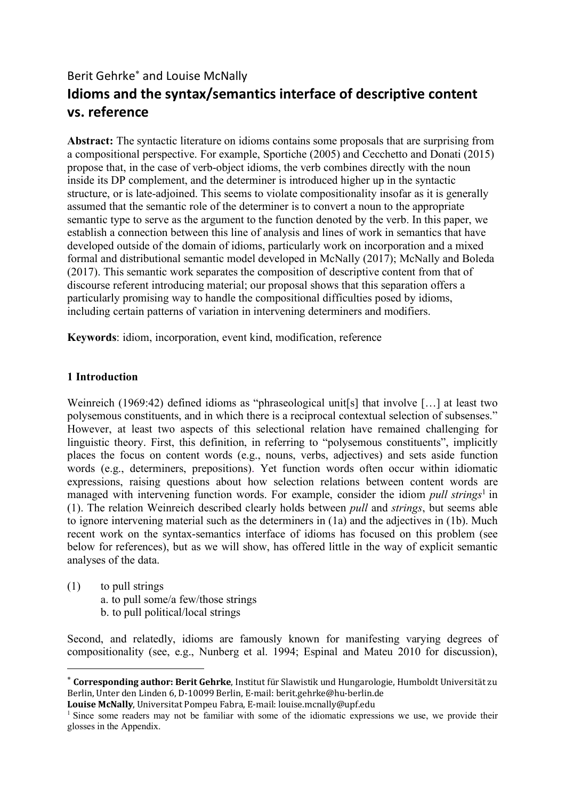# Berit Gehrke\* and Louise McNally **Idioms and the syntax/semantics interface of descriptive content vs. reference**

**Abstract:** The syntactic literature on idioms contains some proposals that are surprising from a compositional perspective. For example, Sportiche (2005) and Cecchetto and Donati (2015) propose that, in the case of verb-object idioms, the verb combines directly with the noun inside its DP complement, and the determiner is introduced higher up in the syntactic structure, or is late-adjoined. This seems to violate compositionality insofar as it is generally assumed that the semantic role of the determiner is to convert a noun to the appropriate semantic type to serve as the argument to the function denoted by the verb. In this paper, we establish a connection between this line of analysis and lines of work in semantics that have developed outside of the domain of idioms, particularly work on incorporation and a mixed formal and distributional semantic model developed in McNally (2017); McNally and Boleda (2017). This semantic work separates the composition of descriptive content from that of discourse referent introducing material; our proposal shows that this separation offers a particularly promising way to handle the compositional difficulties posed by idioms, including certain patterns of variation in intervening determiners and modifiers.

**Keywords**: idiom, incorporation, event kind, modification, reference

## **1 Introduction**

Weinreich (1969:42) defined idioms as "phraseological unit[s] that involve [...] at least two polysemous constituents, and in which there is a reciprocal contextual selection of subsenses." However, at least two aspects of this selectional relation have remained challenging for linguistic theory. First, this definition, in referring to "polysemous constituents", implicitly places the focus on content words (e.g., nouns, verbs, adjectives) and sets aside function words (e.g., determiners, prepositions). Yet function words often occur within idiomatic expressions, raising questions about how selection relations between content words are managed with intervening function words. For example, consider the idiom *pull strings*<sup>1</sup> in (1). The relation Weinreich described clearly holds between *pull* and *strings*, but seems able to ignore intervening material such as the determiners in (1a) and the adjectives in (1b). Much recent work on the syntax-semantics interface of idioms has focused on this problem (see below for references), but as we will show, has offered little in the way of explicit semantic analyses of the data.

(1) to pull strings

 

- a. to pull some/a few/those strings
- b. to pull political/local strings

Second, and relatedly, idioms are famously known for manifesting varying degrees of compositionality (see, e.g., Nunberg et al. 1994; Espinal and Mateu 2010 for discussion),

<sup>\*</sup> **Corresponding author: Berit Gehrke**, Institut für Slawistik und Hungarologie, Humboldt Universität zu Berlin, Unter den Linden 6, D-10099 Berlin, E-mail: berit.gehrke@hu-berlin.de

**Louise McNally**, Universitat Pompeu Fabra, E-mail: louise.mcnally@upf.edu

<sup>&</sup>lt;sup>1</sup> Since some readers may not be familiar with some of the idiomatic expressions we use, we provide their glosses in the Appendix.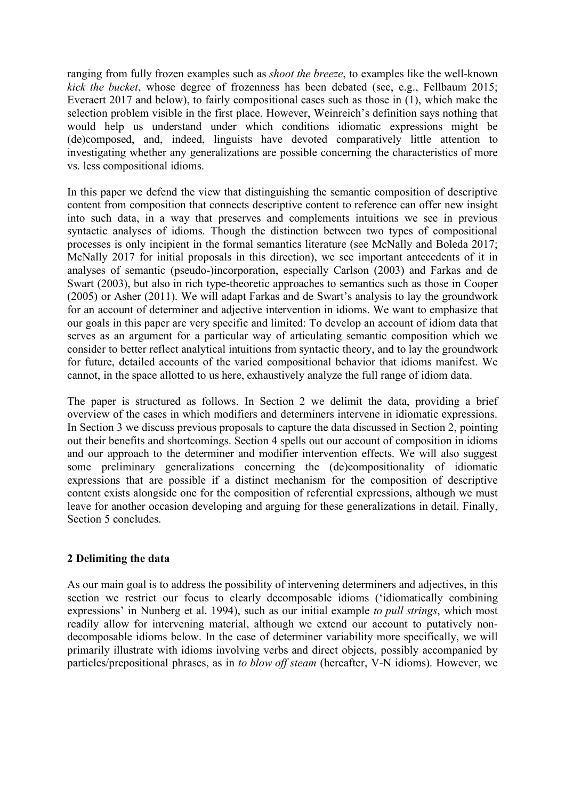ranging from fully frozen examples such as *shoot the breeze*, to examples like the well-known *kick the bucket*, whose degree of frozenness has been debated (see, e.g., Fellbaum 2015; Everaert 2017 and below), to fairly compositional cases such as those in (1), which make the selection problem visible in the first place. However, Weinreich's definition says nothing that would help us understand under which conditions idiomatic expressions might be (de)composed, and, indeed, linguists have devoted comparatively little attention to investigating whether any generalizations are possible concerning the characteristics of more vs. less compositional idioms.

In this paper we defend the view that distinguishing the semantic composition of descriptive content from composition that connects descriptive content to reference can offer new insight into such data, in a way that preserves and complements intuitions we see in previous syntactic analyses of idioms. Though the distinction between two types of compositional processes is only incipient in the formal semantics literature (see McNally and Boleda 2017; McNally 2017 for initial proposals in this direction), we see important antecedents of it in analyses of semantic (pseudo-)incorporation, especially Carlson (2003) and Farkas and de Swart (2003), but also in rich type-theoretic approaches to semantics such as those in Cooper (2005) or Asher (2011). We will adapt Farkas and de Swart's analysis to lay the groundwork for an account of determiner and adjective intervention in idioms. We want to emphasize that our goals in this paper are very specific and limited: To develop an account of idiom data that serves as an argument for a particular way of articulating semantic composition which we consider to better reflect analytical intuitions from syntactic theory, and to lay the groundwork for future, detailed accounts of the varied compositional behavior that idioms manifest. We cannot, in the space allotted to us here, exhaustively analyze the full range of idiom data.

The paper is structured as follows. In Section 2 we delimit the data, providing a brief overview of the cases in which modifiers and determiners intervene in idiomatic expressions. In Section 3 we discuss previous proposals to capture the data discussed in Section 2, pointing out their benefits and shortcomings. Section 4 spells out our account of composition in idioms and our approach to the determiner and modifier intervention effects. We will also suggest some preliminary generalizations concerning the (de)compositionality of idiomatic expressions that are possible if a distinct mechanism for the composition of descriptive content exists alongside one for the composition of referential expressions, although we must leave for another occasion developing and arguing for these generalizations in detail. Finally, Section 5 concludes.

## **2 Delimiting the data**

As our main goal is to address the possibility of intervening determiners and adjectives, in this section we restrict our focus to clearly decomposable idioms ('idiomatically combining expressions' in Nunberg et al. 1994), such as our initial example *to pull strings*, which most readily allow for intervening material, although we extend our account to putatively nondecomposable idioms below. In the case of determiner variability more specifically, we will primarily illustrate with idioms involving verbs and direct objects, possibly accompanied by particles/prepositional phrases, as in *to blow off steam* (hereafter, V-N idioms). However, we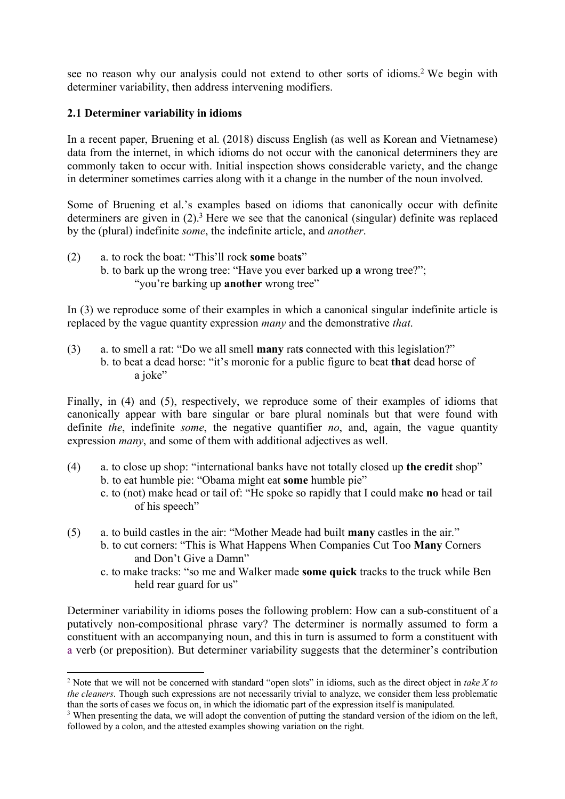see no reason why our analysis could not extend to other sorts of idioms.<sup>2</sup> We begin with determiner variability, then address intervening modifiers.

## **2.1 Determiner variability in idioms**

 

In a recent paper, Bruening et al. (2018) discuss English (as well as Korean and Vietnamese) data from the internet, in which idioms do not occur with the canonical determiners they are commonly taken to occur with. Initial inspection shows considerable variety, and the change in determiner sometimes carries along with it a change in the number of the noun involved.

Some of Bruening et al.'s examples based on idioms that canonically occur with definite determiners are given in  $(2)$ .<sup>3</sup> Here we see that the canonical (singular) definite was replaced by the (plural) indefinite *some*, the indefinite article, and *another*.

(2) a. to rock the boat: "This'll rock **some** boat**s**" b. to bark up the wrong tree: "Have you ever barked up **a** wrong tree?"; "you're barking up **another** wrong tree"

In (3) we reproduce some of their examples in which a canonical singular indefinite article is replaced by the vague quantity expression *many* and the demonstrative *that*.

(3) a. to smell a rat: "Do we all smell **many** rat**s** connected with this legislation?" b. to beat a dead horse: "it's moronic for a public figure to beat **that** dead horse of a joke"

Finally, in (4) and (5), respectively, we reproduce some of their examples of idioms that canonically appear with bare singular or bare plural nominals but that were found with definite *the*, indefinite *some*, the negative quantifier *no*, and, again, the vague quantity expression *many*, and some of them with additional adjectives as well.

- (4) a. to close up shop: "international banks have not totally closed up **the credit** shop" b. to eat humble pie: "Obama might eat **some** humble pie"
	- c. to (not) make head or tail of: "He spoke so rapidly that I could make **no** head or tail of his speech"
- (5) a. to build castles in the air: "Mother Meade had built **many** castles in the air." b. to cut corners: "This is What Happens When Companies Cut Too **Many** Corners and Don't Give a Damn"
	- c. to make tracks: "so me and Walker made **some quick** tracks to the truck while Ben held rear guard for us"

Determiner variability in idioms poses the following problem: How can a sub-constituent of a putatively non-compositional phrase vary? The determiner is normally assumed to form a constituent with an accompanying noun, and this in turn is assumed to form a constituent with a verb (or preposition). But determiner variability suggests that the determiner's contribution

<sup>2</sup> Note that we will not be concerned with standard "open slots" in idioms, such as the direct object in *take X to the cleaners*. Though such expressions are not necessarily trivial to analyze, we consider them less problematic than the sorts of cases we focus on, in which the idiomatic part of the expression itself is manipulated.

<sup>&</sup>lt;sup>3</sup> When presenting the data, we will adopt the convention of putting the standard version of the idiom on the left, followed by a colon, and the attested examples showing variation on the right.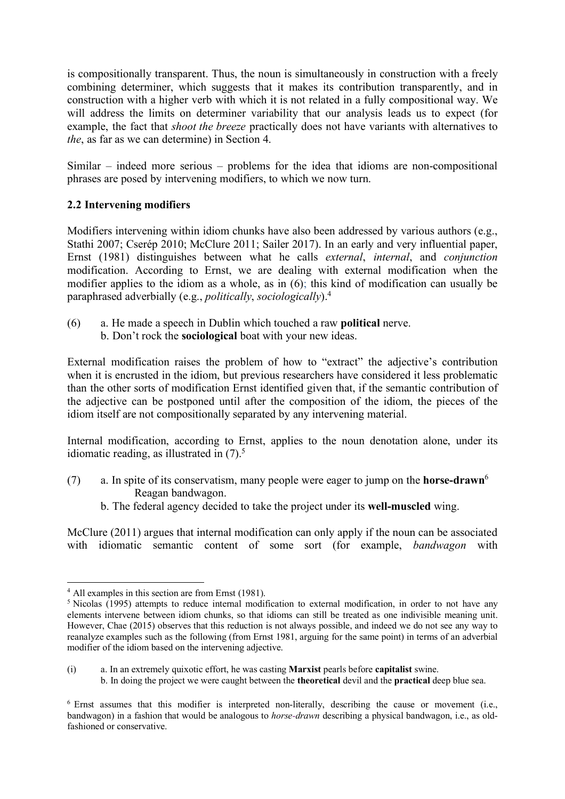is compositionally transparent. Thus, the noun is simultaneously in construction with a freely combining determiner, which suggests that it makes its contribution transparently, and in construction with a higher verb with which it is not related in a fully compositional way. We will address the limits on determiner variability that our analysis leads us to expect (for example, the fact that *shoot the breeze* practically does not have variants with alternatives to *the*, as far as we can determine) in Section 4.

Similar – indeed more serious – problems for the idea that idioms are non-compositional phrases are posed by intervening modifiers, to which we now turn.

## **2.2 Intervening modifiers**

Modifiers intervening within idiom chunks have also been addressed by various authors (e.g., Stathi 2007; Cserép 2010; McClure 2011; Sailer 2017). In an early and very influential paper, Ernst (1981) distinguishes between what he calls *external*, *internal*, and *conjunction* modification. According to Ernst, we are dealing with external modification when the modifier applies to the idiom as a whole, as in (6); this kind of modification can usually be paraphrased adverbially (e.g., *politically*, *sociologically*).4

- (6) a. He made a speech in Dublin which touched a raw **political** nerve.
	- b. Don't rock the **sociological** boat with your new ideas.

External modification raises the problem of how to "extract" the adjective's contribution when it is encrusted in the idiom, but previous researchers have considered it less problematic than the other sorts of modification Ernst identified given that, if the semantic contribution of the adjective can be postponed until after the composition of the idiom, the pieces of the idiom itself are not compositionally separated by any intervening material.

Internal modification, according to Ernst, applies to the noun denotation alone, under its idiomatic reading, as illustrated in  $(7)$ .<sup>5</sup>

- (7) a. In spite of its conservatism, many people were eager to jump on the **horse-drawn**<sup>6</sup> Reagan bandwagon.
	- b. The federal agency decided to take the project under its **well-muscled** wing.

McClure (2011) argues that internal modification can only apply if the noun can be associated with idiomatic semantic content of some sort (for example, *bandwagon* with

 <sup>4</sup> All examples in this section are from Ernst (1981).

<sup>&</sup>lt;sup>5</sup> Nicolas (1995) attempts to reduce internal modification to external modification, in order to not have any elements intervene between idiom chunks, so that idioms can still be treated as one indivisible meaning unit. However, Chae (2015) observes that this reduction is not always possible, and indeed we do not see any way to reanalyze examples such as the following (from Ernst 1981, arguing for the same point) in terms of an adverbial modifier of the idiom based on the intervening adjective.

<sup>(</sup>i) a. In an extremely quixotic effort, he was casting **Marxist** pearls before **capitalist** swine. b. In doing the project we were caught between the **theoretical** devil and the **practical** deep blue sea.

<sup>6</sup> Ernst assumes that this modifier is interpreted non-literally, describing the cause or movement (i.e., bandwagon) in a fashion that would be analogous to *horse-drawn* describing a physical bandwagon, i.e., as oldfashioned or conservative.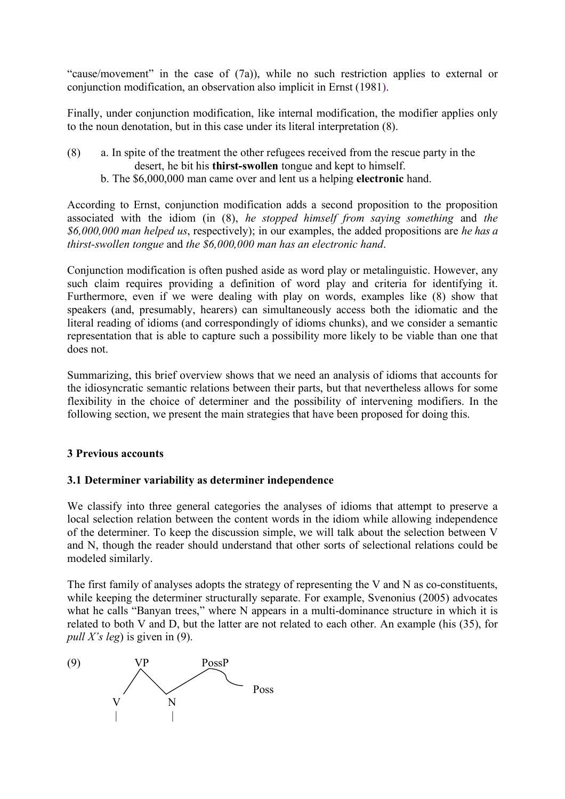"cause/movement" in the case of (7a)), while no such restriction applies to external or conjunction modification, an observation also implicit in Ernst (1981).

Finally, under conjunction modification, like internal modification, the modifier applies only to the noun denotation, but in this case under its literal interpretation (8).

- (8) a. In spite of the treatment the other refugees received from the rescue party in the desert, he bit his **thirst-swollen** tongue and kept to himself.
	- b. The \$6,000,000 man came over and lent us a helping **electronic** hand.

According to Ernst, conjunction modification adds a second proposition to the proposition associated with the idiom (in (8), *he stopped himself from saying something* and *the \$6,000,000 man helped us*, respectively); in our examples, the added propositions are *he has a thirst-swollen tongue* and *the \$6,000,000 man has an electronic hand*.

Conjunction modification is often pushed aside as word play or metalinguistic. However, any such claim requires providing a definition of word play and criteria for identifying it. Furthermore, even if we were dealing with play on words, examples like (8) show that speakers (and, presumably, hearers) can simultaneously access both the idiomatic and the literal reading of idioms (and correspondingly of idioms chunks), and we consider a semantic representation that is able to capture such a possibility more likely to be viable than one that does not.

Summarizing, this brief overview shows that we need an analysis of idioms that accounts for the idiosyncratic semantic relations between their parts, but that nevertheless allows for some flexibility in the choice of determiner and the possibility of intervening modifiers. In the following section, we present the main strategies that have been proposed for doing this.

## **3 Previous accounts**

## **3.1 Determiner variability as determiner independence**

We classify into three general categories the analyses of idioms that attempt to preserve a local selection relation between the content words in the idiom while allowing independence of the determiner. To keep the discussion simple, we will talk about the selection between V and N, though the reader should understand that other sorts of selectional relations could be modeled similarly.

The first family of analyses adopts the strategy of representing the V and N as co-constituents, while keeping the determiner structurally separate. For example, Svenonius (2005) advocates what he calls "Banyan trees," where N appears in a multi-dominance structure in which it is related to both V and D, but the latter are not related to each other. An example (his (35), for *pull X's leg*) is given in (9).

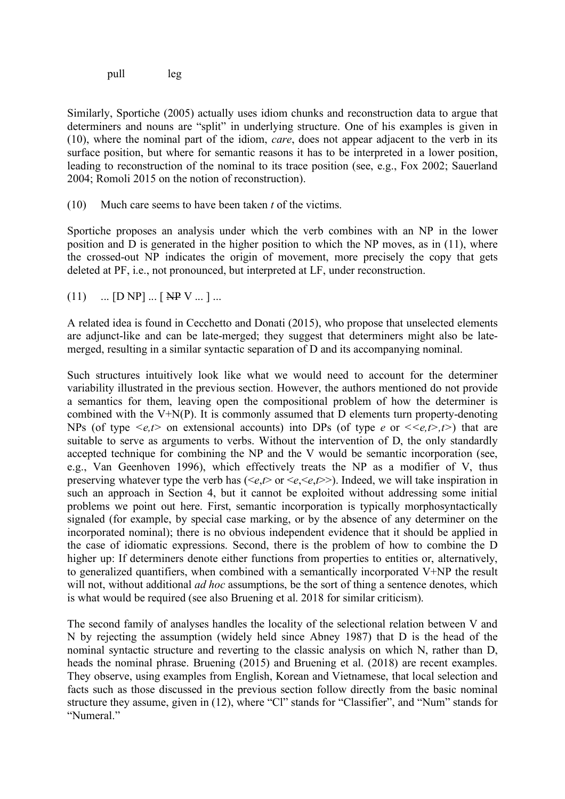pull leg

Similarly, Sportiche (2005) actually uses idiom chunks and reconstruction data to argue that determiners and nouns are "split" in underlying structure. One of his examples is given in (10), where the nominal part of the idiom, *care*, does not appear adjacent to the verb in its surface position, but where for semantic reasons it has to be interpreted in a lower position, leading to reconstruction of the nominal to its trace position (see, e.g., Fox 2002; Sauerland 2004; Romoli 2015 on the notion of reconstruction).

(10) Much care seems to have been taken *t* of the victims.

Sportiche proposes an analysis under which the verb combines with an NP in the lower position and D is generated in the higher position to which the NP moves, as in (11), where the crossed-out NP indicates the origin of movement, more precisely the copy that gets deleted at PF, i.e., not pronounced, but interpreted at LF, under reconstruction.

 $(11)$  ...  $[D NP]$  ...  $[NP V ...]$  ...

A related idea is found in Cecchetto and Donati (2015), who propose that unselected elements are adjunct-like and can be late-merged; they suggest that determiners might also be latemerged, resulting in a similar syntactic separation of D and its accompanying nominal.

Such structures intuitively look like what we would need to account for the determiner variability illustrated in the previous section. However, the authors mentioned do not provide a semantics for them, leaving open the compositional problem of how the determiner is combined with the V+N(P). It is commonly assumed that D elements turn property-denoting NPs (of type  $\langle e, t \rangle$  on extensional accounts) into DPs (of type *e* or  $\langle e, t \rangle$ ,  $t \rangle$ ) that are suitable to serve as arguments to verbs. Without the intervention of D, the only standardly accepted technique for combining the NP and the V would be semantic incorporation (see, e.g., Van Geenhoven 1996), which effectively treats the NP as a modifier of V, thus preserving whatever type the verb has  $(\leq e, t>$  or  $\leq e, \leq e, t>$ ). Indeed, we will take inspiration in such an approach in Section 4, but it cannot be exploited without addressing some initial problems we point out here. First, semantic incorporation is typically morphosyntactically signaled (for example, by special case marking, or by the absence of any determiner on the incorporated nominal); there is no obvious independent evidence that it should be applied in the case of idiomatic expressions. Second, there is the problem of how to combine the D higher up: If determiners denote either functions from properties to entities or, alternatively, to generalized quantifiers, when combined with a semantically incorporated V+NP the result will not, without additional *ad hoc* assumptions, be the sort of thing a sentence denotes, which is what would be required (see also Bruening et al. 2018 for similar criticism).

The second family of analyses handles the locality of the selectional relation between V and N by rejecting the assumption (widely held since Abney 1987) that D is the head of the nominal syntactic structure and reverting to the classic analysis on which N, rather than D, heads the nominal phrase. Bruening (2015) and Bruening et al. (2018) are recent examples. They observe, using examples from English, Korean and Vietnamese, that local selection and facts such as those discussed in the previous section follow directly from the basic nominal structure they assume, given in (12), where "Cl" stands for "Classifier", and "Num" stands for "Numeral."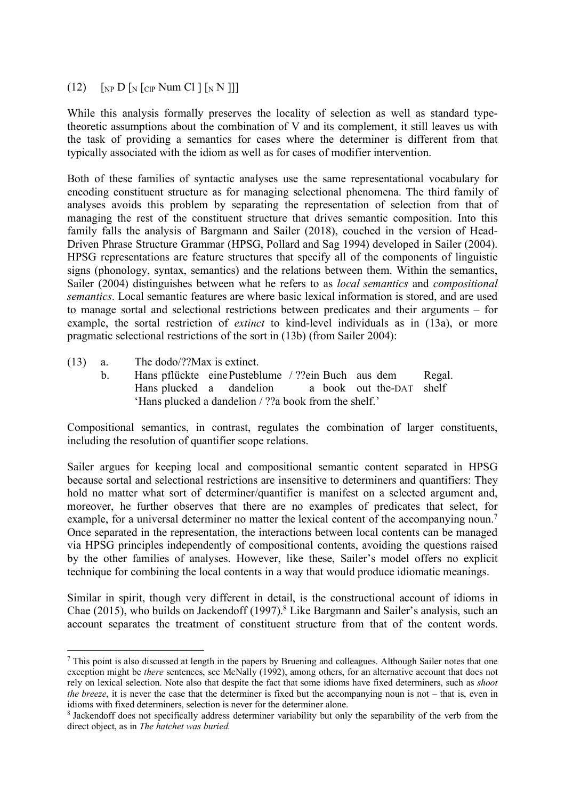# $(12)$  [NP D [N [CIP Num Cl ] [N N ]]]

While this analysis formally preserves the locality of selection as well as standard typetheoretic assumptions about the combination of V and its complement, it still leaves us with the task of providing a semantics for cases where the determiner is different from that typically associated with the idiom as well as for cases of modifier intervention.

Both of these families of syntactic analyses use the same representational vocabulary for encoding constituent structure as for managing selectional phenomena. The third family of analyses avoids this problem by separating the representation of selection from that of managing the rest of the constituent structure that drives semantic composition. Into this family falls the analysis of Bargmann and Sailer (2018), couched in the version of Head-Driven Phrase Structure Grammar (HPSG, Pollard and Sag 1994) developed in Sailer (2004). HPSG representations are feature structures that specify all of the components of linguistic signs (phonology, syntax, semantics) and the relations between them. Within the semantics, Sailer (2004) distinguishes between what he refers to as *local semantics* and *compositional semantics*. Local semantic features are where basic lexical information is stored, and are used to manage sortal and selectional restrictions between predicates and their arguments – for example, the sortal restriction of *extinct* to kind-level individuals as in (13a), or more pragmatic selectional restrictions of the sort in (13b) (from Sailer 2004):

(13) a. The dodo/??Max is extinct.

 

b. Hans pflückte einePusteblume / ??ein Buch aus dem Regal. Hans plucked a dandelion a book out the-DAT shelf 'Hans plucked a dandelion / ??a book from the shelf.'

Compositional semantics, in contrast, regulates the combination of larger constituents, including the resolution of quantifier scope relations.

Sailer argues for keeping local and compositional semantic content separated in HPSG because sortal and selectional restrictions are insensitive to determiners and quantifiers: They hold no matter what sort of determiner/quantifier is manifest on a selected argument and, moreover, he further observes that there are no examples of predicates that select, for example, for a universal determiner no matter the lexical content of the accompanying noun.<sup>7</sup> Once separated in the representation, the interactions between local contents can be managed via HPSG principles independently of compositional contents, avoiding the questions raised by the other families of analyses. However, like these, Sailer's model offers no explicit technique for combining the local contents in a way that would produce idiomatic meanings.

Similar in spirit, though very different in detail, is the constructional account of idioms in Chae (2015), who builds on Jackendoff (1997). <sup>8</sup> Like Bargmann and Sailer's analysis, such an account separates the treatment of constituent structure from that of the content words.

<sup>7</sup> This point is also discussed at length in the papers by Bruening and colleagues. Although Sailer notes that one exception might be *there* sentences, see McNally (1992), among others, for an alternative account that does not rely on lexical selection. Note also that despite the fact that some idioms have fixed determiners, such as *shoot the breeze*, it is never the case that the determiner is fixed but the accompanying noun is not – that is, even in idioms with fixed determiners, selection is never for the determiner alone.

<sup>8</sup> Jackendoff does not specifically address determiner variability but only the separability of the verb from the direct object, as in *The hatchet was buried.*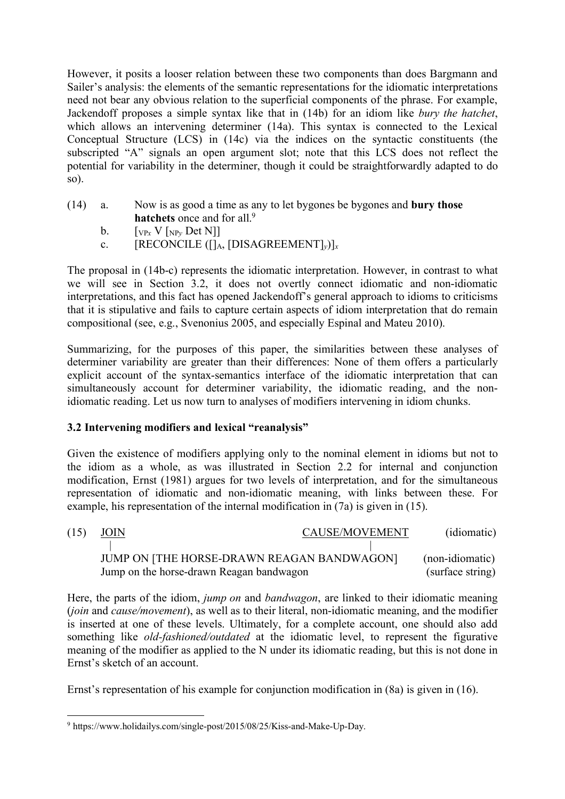However, it posits a looser relation between these two components than does Bargmann and Sailer's analysis: the elements of the semantic representations for the idiomatic interpretations need not bear any obvious relation to the superficial components of the phrase. For example, Jackendoff proposes a simple syntax like that in (14b) for an idiom like *bury the hatchet*, which allows an intervening determiner (14a). This syntax is connected to the Lexical Conceptual Structure (LCS) in (14c) via the indices on the syntactic constituents (the subscripted "A" signals an open argument slot; note that this LCS does not reflect the potential for variability in the determiner, though it could be straightforwardly adapted to do so).

- (14) a. Now is as good a time as any to let bygones be bygones and **bury those hatchets** once and for all.<sup>9</sup>
	- b.  $\left[\nabla P_X \nabla \right]\nabla P_Y \n\right]$
	- c.  $[RECONCILE ([]<sub>A</sub>, [DISAGREEMENT]<sub>v</sub>)]<sub>x</sub>$

The proposal in (14b-c) represents the idiomatic interpretation. However, in contrast to what we will see in Section 3.2, it does not overtly connect idiomatic and non-idiomatic interpretations, and this fact has opened Jackendoff's general approach to idioms to criticisms that it is stipulative and fails to capture certain aspects of idiom interpretation that do remain compositional (see, e.g., Svenonius 2005, and especially Espinal and Mateu 2010).

Summarizing, for the purposes of this paper, the similarities between these analyses of determiner variability are greater than their differences: None of them offers a particularly explicit account of the syntax-semantics interface of the idiomatic interpretation that can simultaneously account for determiner variability, the idiomatic reading, and the nonidiomatic reading. Let us now turn to analyses of modifiers intervening in idiom chunks.

## **3.2 Intervening modifiers and lexical "reanalysis"**

Given the existence of modifiers applying only to the nominal element in idioms but not to the idiom as a whole, as was illustrated in Section 2.2 for internal and conjunction modification, Ernst (1981) argues for two levels of interpretation, and for the simultaneous representation of idiomatic and non-idiomatic meaning, with links between these. For example, his representation of the internal modification in (7a) is given in (15).

| (15) | <b>JOIN</b>                                | CAUSE/MOVEMENT | (idiomatic)      |
|------|--------------------------------------------|----------------|------------------|
|      |                                            |                |                  |
|      | JUMP ON [THE HORSE-DRAWN REAGAN BANDWAGON] |                | (non-idiomatic)  |
|      | Jump on the horse-drawn Reagan bandwagon   |                | (surface string) |

Here, the parts of the idiom, *jump on* and *bandwagon*, are linked to their idiomatic meaning (*join* and *cause/movement*), as well as to their literal, non-idiomatic meaning, and the modifier is inserted at one of these levels. Ultimately, for a complete account, one should also add something like *old-fashioned/outdated* at the idiomatic level, to represent the figurative meaning of the modifier as applied to the N under its idiomatic reading, but this is not done in Ernst's sketch of an account.

Ernst's representation of his example for conjunction modification in (8a) is given in (16).

<sup>9</sup> https://www.holidailys.com/single-post/2015/08/25/Kiss-and-Make-Up-Day.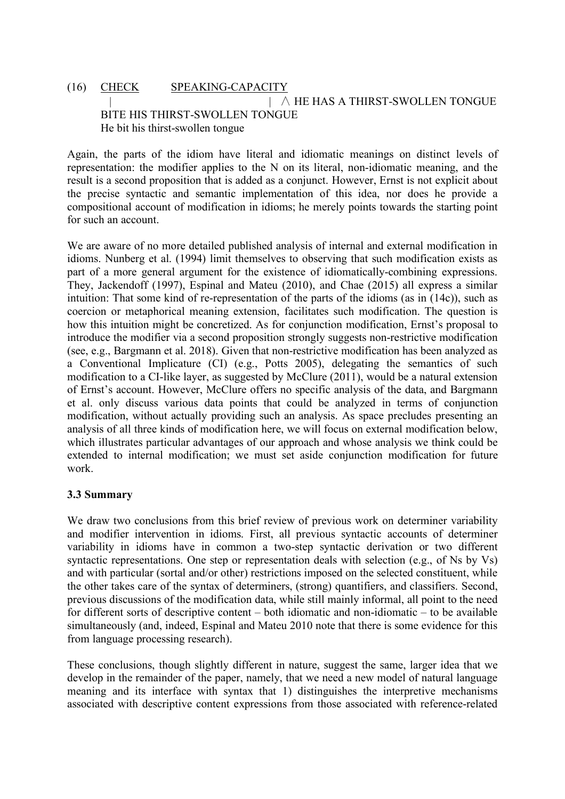# (16) CHECK SPEAKING-CAPACITY | | ∧ HE HAS A THIRST-SWOLLEN TONGUE BITE HIS THIRST-SWOLLEN TONGUE He bit his thirst-swollen tongue

Again, the parts of the idiom have literal and idiomatic meanings on distinct levels of representation: the modifier applies to the N on its literal, non-idiomatic meaning, and the result is a second proposition that is added as a conjunct. However, Ernst is not explicit about the precise syntactic and semantic implementation of this idea, nor does he provide a compositional account of modification in idioms; he merely points towards the starting point for such an account.

We are aware of no more detailed published analysis of internal and external modification in idioms. Nunberg et al. (1994) limit themselves to observing that such modification exists as part of a more general argument for the existence of idiomatically-combining expressions. They, Jackendoff (1997), Espinal and Mateu (2010), and Chae (2015) all express a similar intuition: That some kind of re-representation of the parts of the idioms (as in (14c)), such as coercion or metaphorical meaning extension, facilitates such modification. The question is how this intuition might be concretized. As for conjunction modification, Ernst's proposal to introduce the modifier via a second proposition strongly suggests non-restrictive modification (see, e.g., Bargmann et al. 2018). Given that non-restrictive modification has been analyzed as a Conventional Implicature (CI) (e.g., Potts 2005), delegating the semantics of such modification to a CI-like layer, as suggested by McClure (2011), would be a natural extension of Ernst's account. However, McClure offers no specific analysis of the data, and Bargmann et al. only discuss various data points that could be analyzed in terms of conjunction modification, without actually providing such an analysis. As space precludes presenting an analysis of all three kinds of modification here, we will focus on external modification below, which illustrates particular advantages of our approach and whose analysis we think could be extended to internal modification; we must set aside conjunction modification for future work.

## **3.3 Summary**

We draw two conclusions from this brief review of previous work on determiner variability and modifier intervention in idioms. First, all previous syntactic accounts of determiner variability in idioms have in common a two-step syntactic derivation or two different syntactic representations. One step or representation deals with selection (e.g., of Ns by Vs) and with particular (sortal and/or other) restrictions imposed on the selected constituent, while the other takes care of the syntax of determiners, (strong) quantifiers, and classifiers. Second, previous discussions of the modification data, while still mainly informal, all point to the need for different sorts of descriptive content – both idiomatic and non-idiomatic – to be available simultaneously (and, indeed, Espinal and Mateu 2010 note that there is some evidence for this from language processing research).

These conclusions, though slightly different in nature, suggest the same, larger idea that we develop in the remainder of the paper, namely, that we need a new model of natural language meaning and its interface with syntax that 1) distinguishes the interpretive mechanisms associated with descriptive content expressions from those associated with reference-related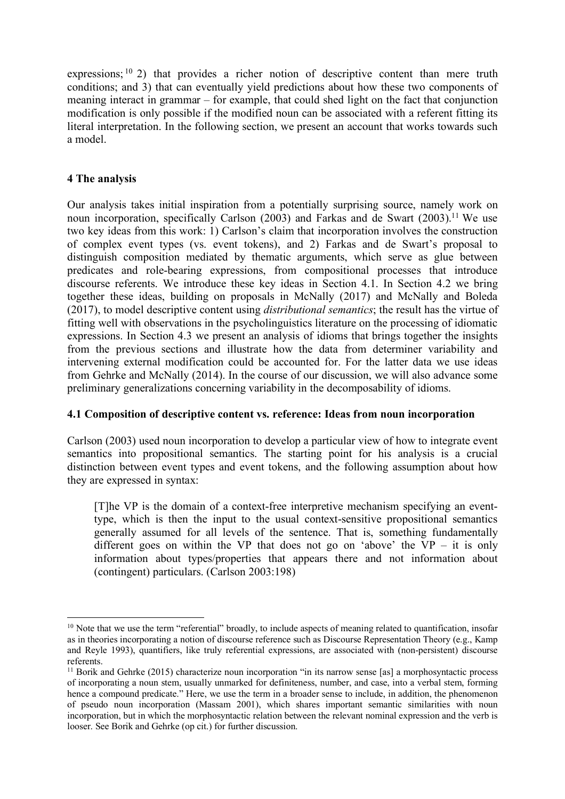expressions; <sup>10</sup> 2) that provides a richer notion of descriptive content than mere truth conditions; and 3) that can eventually yield predictions about how these two components of meaning interact in grammar – for example, that could shed light on the fact that conjunction modification is only possible if the modified noun can be associated with a referent fitting its literal interpretation. In the following section, we present an account that works towards such a model.

## **4 The analysis**

 

Our analysis takes initial inspiration from a potentially surprising source, namely work on noun incorporation, specifically Carlson (2003) and Farkas and de Swart (2003).<sup>11</sup> We use two key ideas from this work: 1) Carlson's claim that incorporation involves the construction of complex event types (vs. event tokens), and 2) Farkas and de Swart's proposal to distinguish composition mediated by thematic arguments, which serve as glue between predicates and role-bearing expressions, from compositional processes that introduce discourse referents. We introduce these key ideas in Section 4.1. In Section 4.2 we bring together these ideas, building on proposals in McNally (2017) and McNally and Boleda (2017), to model descriptive content using *distributional semantics*; the result has the virtue of fitting well with observations in the psycholinguistics literature on the processing of idiomatic expressions. In Section 4.3 we present an analysis of idioms that brings together the insights from the previous sections and illustrate how the data from determiner variability and intervening external modification could be accounted for. For the latter data we use ideas from Gehrke and McNally (2014). In the course of our discussion, we will also advance some preliminary generalizations concerning variability in the decomposability of idioms.

## **4.1 Composition of descriptive content vs. reference: Ideas from noun incorporation**

Carlson (2003) used noun incorporation to develop a particular view of how to integrate event semantics into propositional semantics. The starting point for his analysis is a crucial distinction between event types and event tokens, and the following assumption about how they are expressed in syntax:

[T]he VP is the domain of a context-free interpretive mechanism specifying an eventtype, which is then the input to the usual context-sensitive propositional semantics generally assumed for all levels of the sentence. That is, something fundamentally different goes on within the VP that does not go on 'above' the VP – it is only information about types/properties that appears there and not information about (contingent) particulars. (Carlson 2003:198)

<sup>&</sup>lt;sup>10</sup> Note that we use the term "referential" broadly, to include aspects of meaning related to quantification, insofar as in theories incorporating a notion of discourse reference such as Discourse Representation Theory (e.g., Kamp and Reyle 1993), quantifiers, like truly referential expressions, are associated with (non-persistent) discourse referents.

<sup>11</sup> Borik and Gehrke (2015) characterize noun incorporation "in its narrow sense [as] a morphosyntactic process of incorporating a noun stem, usually unmarked for definiteness, number, and case, into a verbal stem, forming hence a compound predicate." Here, we use the term in a broader sense to include, in addition, the phenomenon of pseudo noun incorporation (Massam 2001), which shares important semantic similarities with noun incorporation, but in which the morphosyntactic relation between the relevant nominal expression and the verb is looser. See Borik and Gehrke (op cit.) for further discussion.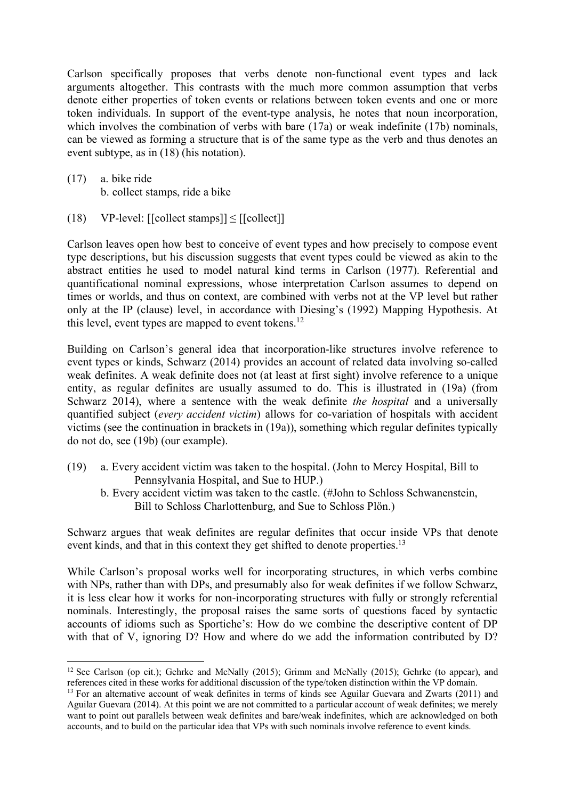Carlson specifically proposes that verbs denote non-functional event types and lack arguments altogether. This contrasts with the much more common assumption that verbs denote either properties of token events or relations between token events and one or more token individuals. In support of the event-type analysis, he notes that noun incorporation, which involves the combination of verbs with bare (17a) or weak indefinite (17b) nominals, can be viewed as forming a structure that is of the same type as the verb and thus denotes an event subtype, as in (18) (his notation).

(17) a. bike ride b. collect stamps, ride a bike

 

(18) VP-level:  $\lfloor$ [collect stamps]]  $\leq$   $\lfloor$ [collect]]

Carlson leaves open how best to conceive of event types and how precisely to compose event type descriptions, but his discussion suggests that event types could be viewed as akin to the abstract entities he used to model natural kind terms in Carlson (1977). Referential and quantificational nominal expressions, whose interpretation Carlson assumes to depend on times or worlds, and thus on context, are combined with verbs not at the VP level but rather only at the IP (clause) level, in accordance with Diesing's (1992) Mapping Hypothesis. At this level, event types are mapped to event tokens.<sup>12</sup>

Building on Carlson's general idea that incorporation-like structures involve reference to event types or kinds, Schwarz (2014) provides an account of related data involving so-called weak definites. A weak definite does not (at least at first sight) involve reference to a unique entity, as regular definites are usually assumed to do. This is illustrated in (19a) (from Schwarz 2014), where a sentence with the weak definite *the hospital* and a universally quantified subject (*every accident victim*) allows for co-variation of hospitals with accident victims (see the continuation in brackets in (19a)), something which regular definites typically do not do, see (19b) (our example).

- (19) a. Every accident victim was taken to the hospital. (John to Mercy Hospital, Bill to Pennsylvania Hospital, and Sue to HUP.)
	- b. Every accident victim was taken to the castle. (#John to Schloss Schwanenstein, Bill to Schloss Charlottenburg, and Sue to Schloss Plön.)

Schwarz argues that weak definites are regular definites that occur inside VPs that denote event kinds, and that in this context they get shifted to denote properties.<sup>13</sup>

While Carlson's proposal works well for incorporating structures, in which verbs combine with NPs, rather than with DPs, and presumably also for weak definites if we follow Schwarz, it is less clear how it works for non-incorporating structures with fully or strongly referential nominals. Interestingly, the proposal raises the same sorts of questions faced by syntactic accounts of idioms such as Sportiche's: How do we combine the descriptive content of DP with that of V, ignoring D? How and where do we add the information contributed by D?

<sup>&</sup>lt;sup>12</sup> See Carlson (op cit.); Gehrke and McNally (2015); Grimm and McNally (2015); Gehrke (to appear), and references cited in these works for additional discussion of the type/token distinction within the VP domain.

<sup>&</sup>lt;sup>13</sup> For an alternative account of weak definites in terms of kinds see Aguilar Guevara and Zwarts (2011) and Aguilar Guevara (2014). At this point we are not committed to a particular account of weak definites; we merely want to point out parallels between weak definites and bare/weak indefinites, which are acknowledged on both accounts, and to build on the particular idea that VPs with such nominals involve reference to event kinds.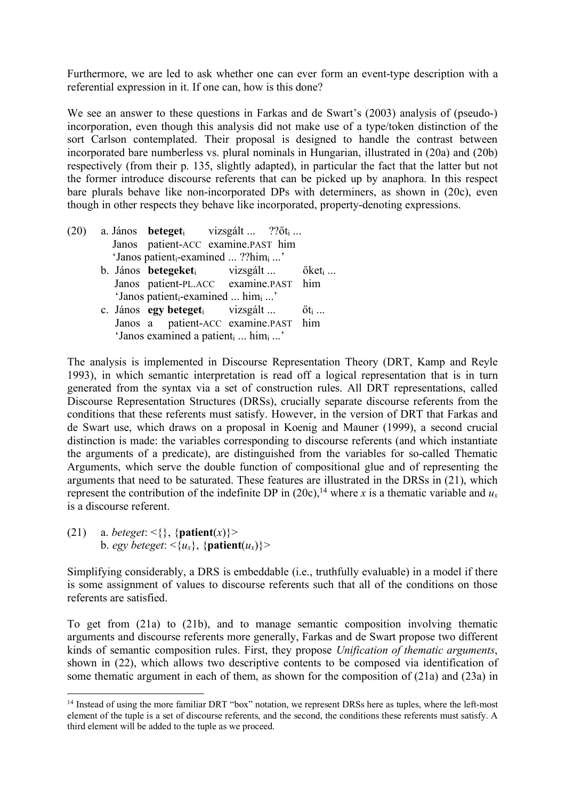Furthermore, we are led to ask whether one can ever form an event-type description with a referential expression in it. If one can, how is this done?

We see an answer to these questions in Farkas and de Swart's (2003) analysis of (pseudo-) incorporation, even though this analysis did not make use of a type/token distinction of the sort Carlson contemplated. Their proposal is designed to handle the contrast between incorporated bare numberless vs. plural nominals in Hungarian, illustrated in (20a) and (20b) respectively (from their p. 135, slightly adapted), in particular the fact that the latter but not the former introduce discourse referents that can be picked up by anaphora. In this respect bare plurals behave like non-incorporated DPs with determiners, as shown in (20c), even though in other respects they behave like incorporated, property-denoting expressions.

| 'Janos patient <sub>i</sub> -examined ??him <sub>i</sub> ' |  |  |  |  |  |  |                                                                                                                                                                                                                                                                                   |
|------------------------------------------------------------|--|--|--|--|--|--|-----------------------------------------------------------------------------------------------------------------------------------------------------------------------------------------------------------------------------------------------------------------------------------|
|                                                            |  |  |  |  |  |  |                                                                                                                                                                                                                                                                                   |
|                                                            |  |  |  |  |  |  |                                                                                                                                                                                                                                                                                   |
| 'Janos patient <sub>i</sub> -examined  him <sub>i</sub> '  |  |  |  |  |  |  |                                                                                                                                                                                                                                                                                   |
|                                                            |  |  |  |  |  |  | $\ddot{\mathrm{o}} t_i$                                                                                                                                                                                                                                                           |
|                                                            |  |  |  |  |  |  |                                                                                                                                                                                                                                                                                   |
| 'Janos examined a patient <sub>i</sub> him <sub>i</sub> '  |  |  |  |  |  |  |                                                                                                                                                                                                                                                                                   |
|                                                            |  |  |  |  |  |  | $(20)$ a János <b>beteget</b> <sub>i</sub> vizsgált  ??őt <sub>i</sub><br>Janos patient-ACC examine.PAST him<br>b. János betegeket vizsgált  őketi<br>Janos patient-PL.ACC examine.PAST him<br>c. János egy beteget <sub>i</sub> vizsgált<br>Janos a patient-ACC examine.PAST him |

The analysis is implemented in Discourse Representation Theory (DRT, Kamp and Reyle 1993), in which semantic interpretation is read off a logical representation that is in turn generated from the syntax via a set of construction rules. All DRT representations, called Discourse Representation Structures (DRSs), crucially separate discourse referents from the conditions that these referents must satisfy. However, in the version of DRT that Farkas and de Swart use, which draws on a proposal in Koenig and Mauner (1999), a second crucial distinction is made: the variables corresponding to discourse referents (and which instantiate the arguments of a predicate), are distinguished from the variables for so-called Thematic Arguments, which serve the double function of compositional glue and of representing the arguments that need to be saturated. These features are illustrated in the DRSs in (21), which represent the contribution of the indefinite DP in  $(20c)$ , <sup>14</sup> where x is a thematic variable and  $u_x$ is a discourse referent.

(21) a. *beteget*: <{}, {**patient**(*x*)}> b. *egy beteget*:  $\langle \{u_x\}, \{\text{patient}(u_x)\}\rangle$ 

 

Simplifying considerably, a DRS is embeddable (i.e., truthfully evaluable) in a model if there is some assignment of values to discourse referents such that all of the conditions on those referents are satisfied.

To get from (21a) to (21b), and to manage semantic composition involving thematic arguments and discourse referents more generally, Farkas and de Swart propose two different kinds of semantic composition rules. First, they propose *Unification of thematic arguments*, shown in (22), which allows two descriptive contents to be composed via identification of some thematic argument in each of them, as shown for the composition of (21a) and (23a) in

<sup>&</sup>lt;sup>14</sup> Instead of using the more familiar DRT "box" notation, we represent DRSs here as tuples, where the left-most element of the tuple is a set of discourse referents, and the second, the conditions these referents must satisfy. A third element will be added to the tuple as we proceed.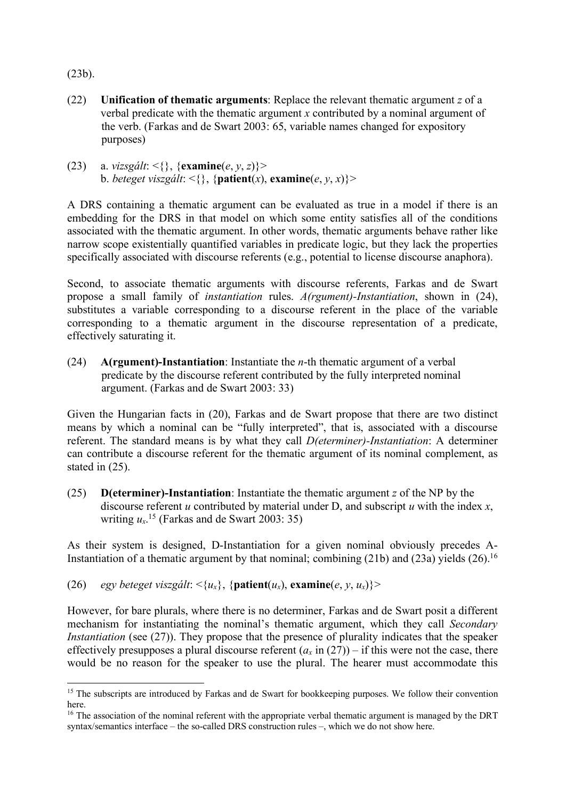(23b).

- (22) **Unification of thematic arguments**: Replace the relevant thematic argument *z* of a verbal predicate with the thematic argument *x* contributed by a nominal argument of the verb. (Farkas and de Swart 2003: 65, variable names changed for expository purposes)
- (23) a. *vizsgált*:  $\{\}, \{\text{example}(e, y, z)\}$ b. *beteget viszgált*:  $\{\}$ , {**patient** $(x)$ , **examine** $(e, y, x)$ }

A DRS containing a thematic argument can be evaluated as true in a model if there is an embedding for the DRS in that model on which some entity satisfies all of the conditions associated with the thematic argument. In other words, thematic arguments behave rather like narrow scope existentially quantified variables in predicate logic, but they lack the properties specifically associated with discourse referents (e.g., potential to license discourse anaphora).

Second, to associate thematic arguments with discourse referents, Farkas and de Swart propose a small family of *instantiation* rules. *A(rgument)-Instantiation*, shown in (24), substitutes a variable corresponding to a discourse referent in the place of the variable corresponding to a thematic argument in the discourse representation of a predicate, effectively saturating it.

(24) **A(rgument)-Instantiation**: Instantiate the *n*-th thematic argument of a verbal predicate by the discourse referent contributed by the fully interpreted nominal argument. (Farkas and de Swart 2003: 33)

Given the Hungarian facts in (20), Farkas and de Swart propose that there are two distinct means by which a nominal can be "fully interpreted", that is, associated with a discourse referent. The standard means is by what they call *D(eterminer)-Instantiation*: A determiner can contribute a discourse referent for the thematic argument of its nominal complement, as stated in (25).

(25) **D(eterminer)-Instantiation**: Instantiate the thematic argument *z* of the NP by the discourse referent *u* contributed by material under D, and subscript *u* with the index *x*, writing  $u_x$ .<sup>15</sup> (Farkas and de Swart 2003: 35)

As their system is designed, D-Instantiation for a given nominal obviously precedes A-Instantiation of a thematic argument by that nominal; combining  $(21b)$  and  $(23a)$  yields  $(26)$ .<sup>16</sup>

(26) *egy beteget viszgált*:  $\langle \{u_x\}, \{\text{patient}(u_x), \text{examine}(e, y, u_x)\} \rangle$ 

However, for bare plurals, where there is no determiner, Farkas and de Swart posit a different mechanism for instantiating the nominal's thematic argument, which they call *Secondary Instantiation* (see (27)). They propose that the presence of plurality indicates that the speaker effectively presupposes a plural discourse referent  $(a_x$  in  $(27))$  – if this were not the case, there would be no reason for the speaker to use the plural. The hearer must accommodate this

 <sup>15</sup> The subscripts are introduced by Farkas and de Swart for bookkeeping purposes. We follow their convention here.

<sup>&</sup>lt;sup>16</sup> The association of the nominal referent with the appropriate verbal thematic argument is managed by the DRT syntax/semantics interface – the so-called DRS construction rules –, which we do not show here.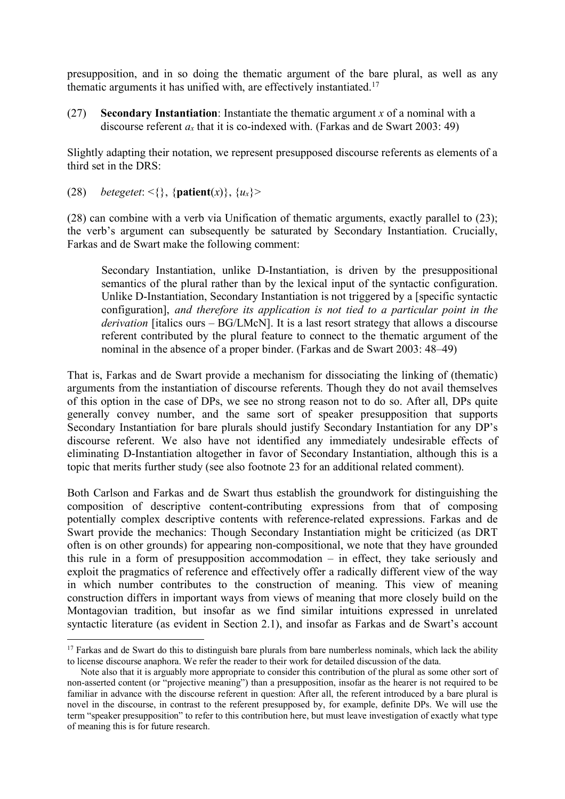presupposition, and in so doing the thematic argument of the bare plural, as well as any thematic arguments it has unified with, are effectively instantiated. 17

(27) **Secondary Instantiation**: Instantiate the thematic argument *x* of a nominal with a discourse referent *ax* that it is co-indexed with. (Farkas and de Swart 2003: 49)

Slightly adapting their notation, we represent presupposed discourse referents as elements of a third set in the DRS:

(28) *betegetet*:  $\{\}, \{\text{patient}(x)\}, \{u_x\}$ 

 

(28) can combine with a verb via Unification of thematic arguments, exactly parallel to (23); the verb's argument can subsequently be saturated by Secondary Instantiation. Crucially, Farkas and de Swart make the following comment:

Secondary Instantiation, unlike D-Instantiation, is driven by the presuppositional semantics of the plural rather than by the lexical input of the syntactic configuration. Unlike D-Instantiation, Secondary Instantiation is not triggered by a [specific syntactic configuration], *and therefore its application is not tied to a particular point in the derivation* [italics ours – BG/LMcN]. It is a last resort strategy that allows a discourse referent contributed by the plural feature to connect to the thematic argument of the nominal in the absence of a proper binder. (Farkas and de Swart 2003: 48–49)

That is, Farkas and de Swart provide a mechanism for dissociating the linking of (thematic) arguments from the instantiation of discourse referents. Though they do not avail themselves of this option in the case of DPs, we see no strong reason not to do so. After all, DPs quite generally convey number, and the same sort of speaker presupposition that supports Secondary Instantiation for bare plurals should justify Secondary Instantiation for any DP's discourse referent. We also have not identified any immediately undesirable effects of eliminating D-Instantiation altogether in favor of Secondary Instantiation, although this is a topic that merits further study (see also footnote 23 for an additional related comment).

Both Carlson and Farkas and de Swart thus establish the groundwork for distinguishing the composition of descriptive content-contributing expressions from that of composing potentially complex descriptive contents with reference-related expressions. Farkas and de Swart provide the mechanics: Though Secondary Instantiation might be criticized (as DRT often is on other grounds) for appearing non-compositional, we note that they have grounded this rule in a form of presupposition accommodation – in effect, they take seriously and exploit the pragmatics of reference and effectively offer a radically different view of the way in which number contributes to the construction of meaning. This view of meaning construction differs in important ways from views of meaning that more closely build on the Montagovian tradition, but insofar as we find similar intuitions expressed in unrelated syntactic literature (as evident in Section 2.1), and insofar as Farkas and de Swart's account

 $17$  Farkas and de Swart do this to distinguish bare plurals from bare numberless nominals, which lack the ability to license discourse anaphora. We refer the reader to their work for detailed discussion of the data.

Note also that it is arguably more appropriate to consider this contribution of the plural as some other sort of non-asserted content (or "projective meaning") than a presupposition, insofar as the hearer is not required to be familiar in advance with the discourse referent in question: After all, the referent introduced by a bare plural is novel in the discourse, in contrast to the referent presupposed by, for example, definite DPs. We will use the term "speaker presupposition" to refer to this contribution here, but must leave investigation of exactly what type of meaning this is for future research.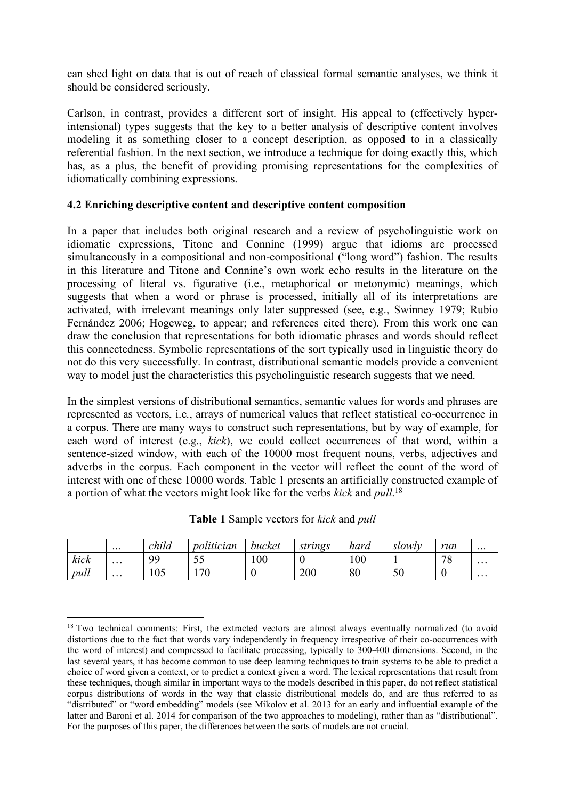can shed light on data that is out of reach of classical formal semantic analyses, we think it should be considered seriously.

Carlson, in contrast, provides a different sort of insight. His appeal to (effectively hyperintensional) types suggests that the key to a better analysis of descriptive content involves modeling it as something closer to a concept description, as opposed to in a classically referential fashion. In the next section, we introduce a technique for doing exactly this, which has, as a plus, the benefit of providing promising representations for the complexities of idiomatically combining expressions.

## **4.2 Enriching descriptive content and descriptive content composition**

In a paper that includes both original research and a review of psycholinguistic work on idiomatic expressions, Titone and Connine (1999) argue that idioms are processed simultaneously in a compositional and non-compositional ("long word") fashion. The results in this literature and Titone and Connine's own work echo results in the literature on the processing of literal vs. figurative (i.e., metaphorical or metonymic) meanings, which suggests that when a word or phrase is processed, initially all of its interpretations are activated, with irrelevant meanings only later suppressed (see, e.g., Swinney 1979; Rubio Fernández 2006; Hogeweg, to appear; and references cited there). From this work one can draw the conclusion that representations for both idiomatic phrases and words should reflect this connectedness. Symbolic representations of the sort typically used in linguistic theory do not do this very successfully. In contrast, distributional semantic models provide a convenient way to model just the characteristics this psycholinguistic research suggests that we need.

In the simplest versions of distributional semantics, semantic values for words and phrases are represented as vectors, i.e., arrays of numerical values that reflect statistical co-occurrence in a corpus. There are many ways to construct such representations, but by way of example, for each word of interest (e.g., *kick*), we could collect occurrences of that word, within a sentence-sized window, with each of the 10000 most frequent nouns, verbs, adjectives and adverbs in the corpus. Each component in the vector will reflect the count of the word of interest with one of these 10000 words. Table 1 presents an artificially constructed example of a portion of what the vectors might look like for the verbs *kick* and *pull*. 18

|      | $\cdots$          | 1.17<br>child               | politician | bucket | strings | hard | slowly | run                    | $\cdots$ |
|------|-------------------|-----------------------------|------------|--------|---------|------|--------|------------------------|----------|
| kick | .                 | ۵a                          | ັ          | 100    |         | 100  |        | $\neg$ $\bigcirc$<br>O | $\cdots$ |
| pull | $\cdot\cdot\cdot$ | 1 $\cap$ $\subset$<br>1 V J | $\pi$<br>ν |        | 200     | 80   | υU     |                        | $\cdots$ |

|  |  | Table 1 Sample vectors for kick and pull |  |  |
|--|--|------------------------------------------|--|--|
|--|--|------------------------------------------|--|--|

<sup>&</sup>lt;sup>18</sup> Two technical comments: First, the extracted vectors are almost always eventually normalized (to avoid distortions due to the fact that words vary independently in frequency irrespective of their co-occurrences with the word of interest) and compressed to facilitate processing, typically to 300-400 dimensions. Second, in the last several years, it has become common to use deep learning techniques to train systems to be able to predict a choice of word given a context, or to predict a context given a word. The lexical representations that result from these techniques, though similar in important ways to the models described in this paper, do not reflect statistical corpus distributions of words in the way that classic distributional models do, and are thus referred to as "distributed" or "word embedding" models (see Mikolov et al. 2013 for an early and influential example of the latter and Baroni et al. 2014 for comparison of the two approaches to modeling), rather than as "distributional". For the purposes of this paper, the differences between the sorts of models are not crucial.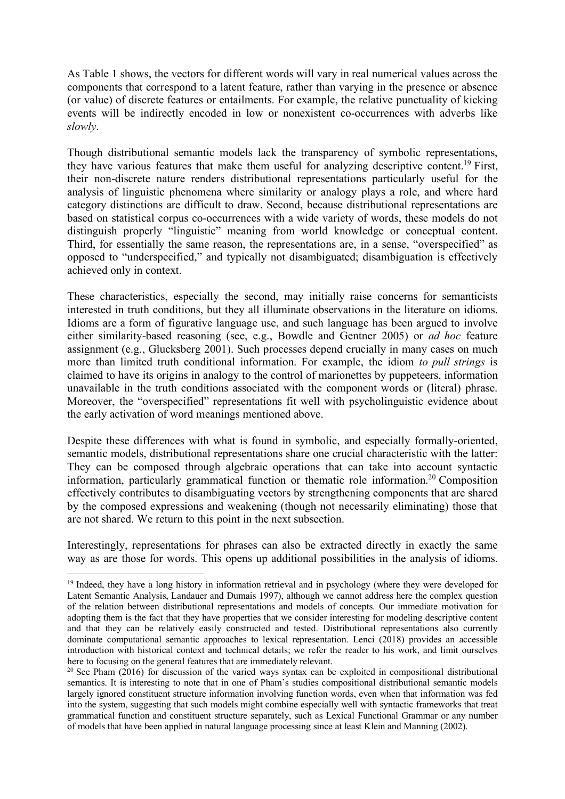As Table 1 shows, the vectors for different words will vary in real numerical values across the components that correspond to a latent feature, rather than varying in the presence or absence (or value) of discrete features or entailments. For example, the relative punctuality of kicking events will be indirectly encoded in low or nonexistent co-occurrences with adverbs like *slowly*.

Though distributional semantic models lack the transparency of symbolic representations, they have various features that make them useful for analyzing descriptive content.19 First, their non-discrete nature renders distributional representations particularly useful for the analysis of linguistic phenomena where similarity or analogy plays a role, and where hard category distinctions are difficult to draw. Second, because distributional representations are based on statistical corpus co-occurrences with a wide variety of words, these models do not distinguish properly "linguistic" meaning from world knowledge or conceptual content. Third, for essentially the same reason, the representations are, in a sense, "overspecified" as opposed to "underspecified," and typically not disambiguated; disambiguation is effectively achieved only in context.

These characteristics, especially the second, may initially raise concerns for semanticists interested in truth conditions, but they all illuminate observations in the literature on idioms. Idioms are a form of figurative language use, and such language has been argued to involve either similarity-based reasoning (see, e.g., Bowdle and Gentner 2005) or *ad hoc* feature assignment (e.g., Glucksberg 2001). Such processes depend crucially in many cases on much more than limited truth conditional information. For example, the idiom *to pull strings* is claimed to have its origins in analogy to the control of marionettes by puppeteers, information unavailable in the truth conditions associated with the component words or (literal) phrase. Moreover, the "overspecified" representations fit well with psycholinguistic evidence about the early activation of word meanings mentioned above.

Despite these differences with what is found in symbolic, and especially formally-oriented, semantic models, distributional representations share one crucial characteristic with the latter: They can be composed through algebraic operations that can take into account syntactic information, particularly grammatical function or thematic role information. <sup>20</sup> Composition effectively contributes to disambiguating vectors by strengthening components that are shared by the composed expressions and weakening (though not necessarily eliminating) those that are not shared. We return to this point in the next subsection.

Interestingly, representations for phrases can also be extracted directly in exactly the same way as are those for words. This opens up additional possibilities in the analysis of idioms.

<sup>19</sup> Indeed, they have a long history in information retrieval and in psychology (where they were developed for Latent Semantic Analysis, Landauer and Dumais 1997), although we cannot address here the complex question of the relation between distributional representations and models of concepts. Our immediate motivation for adopting them is the fact that they have properties that we consider interesting for modeling descriptive content and that they can be relatively easily constructed and tested. Distributional representations also currently dominate computational semantic approaches to lexical representation. Lenci (2018) provides an accessible introduction with historical context and technical details; we refer the reader to his work, and limit ourselves here to focusing on the general features that are immediately relevant.

<sup>20</sup> See Pham (2016) for discussion of the varied ways syntax can be exploited in compositional distributional semantics. It is interesting to note that in one of Pham's studies compositional distributional semantic models largely ignored constituent structure information involving function words, even when that information was fed into the system, suggesting that such models might combine especially well with syntactic frameworks that treat grammatical function and constituent structure separately, such as Lexical Functional Grammar or any number of models that have been applied in natural language processing since at least Klein and Manning (2002).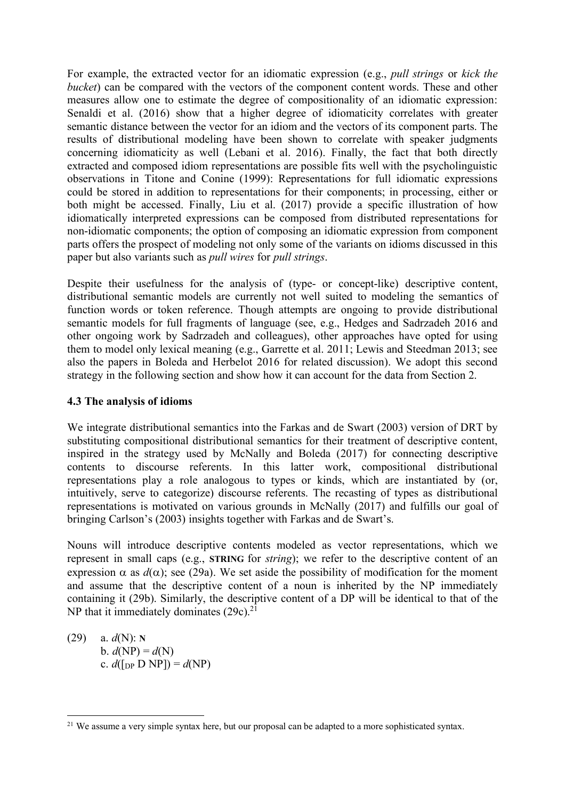For example, the extracted vector for an idiomatic expression (e.g., *pull strings* or *kick the bucket*) can be compared with the vectors of the component content words. These and other measures allow one to estimate the degree of compositionality of an idiomatic expression: Senaldi et al. (2016) show that a higher degree of idiomaticity correlates with greater semantic distance between the vector for an idiom and the vectors of its component parts. The results of distributional modeling have been shown to correlate with speaker judgments concerning idiomaticity as well (Lebani et al. 2016). Finally, the fact that both directly extracted and composed idiom representations are possible fits well with the psycholinguistic observations in Titone and Conine (1999): Representations for full idiomatic expressions could be stored in addition to representations for their components; in processing, either or both might be accessed. Finally, Liu et al. (2017) provide a specific illustration of how idiomatically interpreted expressions can be composed from distributed representations for non-idiomatic components; the option of composing an idiomatic expression from component parts offers the prospect of modeling not only some of the variants on idioms discussed in this paper but also variants such as *pull wires* for *pull strings*.

Despite their usefulness for the analysis of (type- or concept-like) descriptive content, distributional semantic models are currently not well suited to modeling the semantics of function words or token reference. Though attempts are ongoing to provide distributional semantic models for full fragments of language (see, e.g., Hedges and Sadrzadeh 2016 and other ongoing work by Sadrzadeh and colleagues), other approaches have opted for using them to model only lexical meaning (e.g., Garrette et al. 2011; Lewis and Steedman 2013; see also the papers in Boleda and Herbelot 2016 for related discussion). We adopt this second strategy in the following section and show how it can account for the data from Section 2.

## **4.3 The analysis of idioms**

We integrate distributional semantics into the Farkas and de Swart (2003) version of DRT by substituting compositional distributional semantics for their treatment of descriptive content, inspired in the strategy used by McNally and Boleda (2017) for connecting descriptive contents to discourse referents. In this latter work, compositional distributional representations play a role analogous to types or kinds, which are instantiated by (or, intuitively, serve to categorize) discourse referents. The recasting of types as distributional representations is motivated on various grounds in McNally (2017) and fulfills our goal of bringing Carlson's (2003) insights together with Farkas and de Swart's.

Nouns will introduce descriptive contents modeled as vector representations, which we represent in small caps (e.g., **STRING** for *string*); we refer to the descriptive content of an expression  $\alpha$  as  $d(\alpha)$ ; see (29a). We set aside the possibility of modification for the moment and assume that the descriptive content of a noun is inherited by the NP immediately containing it (29b). Similarly, the descriptive content of a DP will be identical to that of the NP that it immediately dominates  $(29c)^{21}$ 

(29) a. *d*(N): **N** b.  $d(NP) = d(N)$ c.  $d(\lceil_{\text{DP}} D \text{ NP}\rceil) = d(\text{NP})$ 

<sup>&</sup>lt;sup>21</sup> We assume a very simple syntax here, but our proposal can be adapted to a more sophisticated syntax.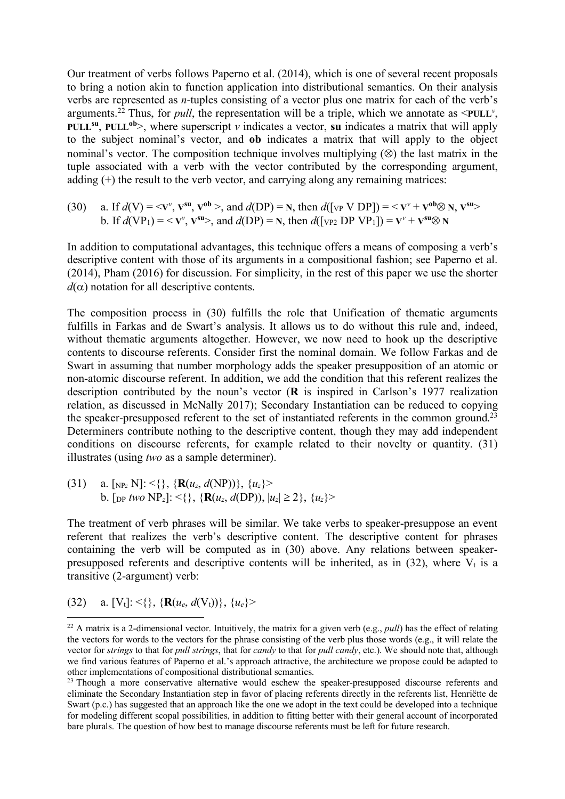Our treatment of verbs follows Paperno et al. (2014), which is one of several recent proposals to bring a notion akin to function application into distributional semantics. On their analysis verbs are represented as *n*-tuples consisting of a vector plus one matrix for each of the verb's arguments.22 Thus, for *pull*, the representation will be a triple, which we annotate as <**PULL***<sup>v</sup>* , **PULL<sup>su</sup>**, **PULL<sup>ob</sup>**>, where superscript *v* indicates a vector, su indicates a matrix that will apply to the subject nominal's vector, and **ob** indicates a matrix that will apply to the object nominal's vector. The composition technique involves multiplying  $(\otimes)$  the last matrix in the tuple associated with a verb with the vector contributed by the corresponding argument, adding (+) the result to the verb vector, and carrying along any remaining matrices:

(30) a. If 
$$
d(V) = \langle V^{\nu}, V^{su}, V^{ob} \rangle
$$
, and  $d(DP) = N$ , then  $d([v_P \ V \ DP]) = \langle V^{\nu} + V^{ob} \otimes N, V^{su} \rangle$  b. If  $d(VP_1) = \langle V^{\nu}, V^{su} \rangle$ , and  $d(DP) = N$ , then  $d([v_P \ D \ P \ V_P_1]) = V^{\nu} + V^{su} \otimes N$ 

In addition to computational advantages, this technique offers a means of composing a verb's descriptive content with those of its arguments in a compositional fashion; see Paperno et al. (2014), Pham (2016) for discussion. For simplicity, in the rest of this paper we use the shorter  $d(\alpha)$  notation for all descriptive contents.

The composition process in (30) fulfills the role that Unification of thematic arguments fulfills in Farkas and de Swart's analysis. It allows us to do without this rule and, indeed, without thematic arguments altogether. However, we now need to hook up the descriptive contents to discourse referents. Consider first the nominal domain. We follow Farkas and de Swart in assuming that number morphology adds the speaker presupposition of an atomic or non-atomic discourse referent. In addition, we add the condition that this referent realizes the description contributed by the noun's vector (**R** is inspired in Carlson's 1977 realization relation, as discussed in McNally 2017); Secondary Instantiation can be reduced to copying the speaker-presupposed referent to the set of instantiated referents in the common ground.<sup>23</sup> Determiners contribute nothing to the descriptive content, though they may add independent conditions on discourse referents, for example related to their novelty or quantity. (31) illustrates (using *two* as a sample determiner).

(31) a.  $\lceil \text{NP}_z \text{N} \rceil$ : <{},  $\{ \mathbf{R}(u_z, d(\text{NP})) \}, \{u_z \}$ > b. [pp *two*  $NP_z$ ]: <{}, { $R(u_z, d(DP))$ ,  $|u_z| \ge 2$ }, { $u_z$ }>

The treatment of verb phrases will be similar. We take verbs to speaker-presuppose an event referent that realizes the verb's descriptive content. The descriptive content for phrases containing the verb will be computed as in (30) above. Any relations between speakerpresupposed referents and descriptive contents will be inherited, as in  $(32)$ , where  $V_t$  is a transitive (2-argument) verb:

(32) a.  $[V_t] \leq {\}$ ,  ${R(u_e, d(V_t))}$ ,  ${u_e}$ 

<sup>&</sup>lt;sup>22</sup> A matrix is a 2-dimensional vector. Intuitively, the matrix for a given verb (e.g., *pull*) has the effect of relating the vectors for words to the vectors for the phrase consisting of the verb plus those words (e.g., it will relate the vector for *strings* to that for *pull strings*, that for *candy* to that for *pull candy*, etc.). We should note that, although we find various features of Paperno et al.'s approach attractive, the architecture we propose could be adapted to other implementations of compositional distributional semantics.

<sup>&</sup>lt;sup>23</sup> Though a more conservative alternative would eschew the speaker-presupposed discourse referents and eliminate the Secondary Instantiation step in favor of placing referents directly in the referents list, Henriëtte de Swart (p.c.) has suggested that an approach like the one we adopt in the text could be developed into a technique for modeling different scopal possibilities, in addition to fitting better with their general account of incorporated bare plurals. The question of how best to manage discourse referents must be left for future research.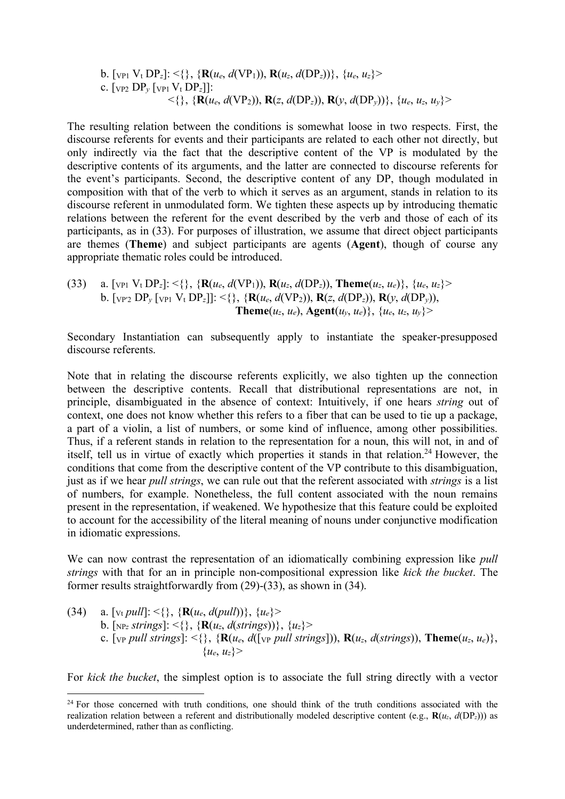b. [VP1 Vt DP*z*]: <{}, {**R**(*ue*, *d*(VP1)), **R**(*uz*, *d*(DP*z*))}, {*ue*, *uz*}> c.  $[_{VP2} DP_{y} [_{VP1} V_{t} DP_{z}]]$ :  $\{ \langle \{ \} \rangle, \{ \mathbf{R}(u_e, d(\nabla P_2)), \mathbf{R}(z, d(\nabla P_z)), \mathbf{R}(y, d(\nabla P_y)) \}, \{ u_e, u_z, u_y \} \rangle$ 

The resulting relation between the conditions is somewhat loose in two respects. First, the discourse referents for events and their participants are related to each other not directly, but only indirectly via the fact that the descriptive content of the VP is modulated by the descriptive contents of its arguments, and the latter are connected to discourse referents for the event's participants. Second, the descriptive content of any DP, though modulated in composition with that of the verb to which it serves as an argument, stands in relation to its discourse referent in unmodulated form. We tighten these aspects up by introducing thematic relations between the referent for the event described by the verb and those of each of its participants, as in (33). For purposes of illustration, we assume that direct object participants are themes (**Theme**) and subject participants are agents (**Agent**), though of course any appropriate thematic roles could be introduced.

(33) a. [vp<sub>1</sub> V<sub>t</sub> DP<sub>*z*</sub>]: <{}, {**R**( $u_e$ ,  $d(VP_1)$ ), **R**( $u_z$ ,  $d(DP_z)$ ), **Theme**( $u_z$ ,  $u_e$ )}, { $u_e$ ,  $u_z$ }> b. [VP¢<sup>2</sup> DP*<sup>y</sup>* [VP1 Vt DP*z*]]: <{}, {**R**(*ue*, *d*(VP2)), **R**(*z*, *d*(DP*z*)), **R**(*y*, *d*(DP*y*)), **Theme**( $u_z$ ,  $u_e$ ), **Agent**( $u_y$ ,  $u_e$ )}, { $u_e$ ,  $u_z$ ,  $u_y$ }>

Secondary Instantiation can subsequently apply to instantiate the speaker-presupposed discourse referents.

Note that in relating the discourse referents explicitly, we also tighten up the connection between the descriptive contents. Recall that distributional representations are not, in principle, disambiguated in the absence of context: Intuitively, if one hears *string* out of context, one does not know whether this refers to a fiber that can be used to tie up a package, a part of a violin, a list of numbers, or some kind of influence, among other possibilities. Thus, if a referent stands in relation to the representation for a noun, this will not, in and of itself, tell us in virtue of exactly which properties it stands in that relation.<sup>24</sup> However, the conditions that come from the descriptive content of the VP contribute to this disambiguation, just as if we hear *pull strings*, we can rule out that the referent associated with *strings* is a list of numbers, for example. Nonetheless, the full content associated with the noun remains present in the representation, if weakened. We hypothesize that this feature could be exploited to account for the accessibility of the literal meaning of nouns under conjunctive modification in idiomatic expressions.

We can now contrast the representation of an idiomatically combining expression like *pull strings* with that for an in principle non-compositional expression like *kick the bucket*. The former results straightforwardly from (29)-(33), as shown in (34).

(34) a. [vt *pull*]: <{}, {**R**( $u_e$ , *d*(*pull*))}, { $u_e$ }> b. [NP*<sup>z</sup> strings*]: <{}, {**R**(*uz*, *d*(*strings*))}, {*uz*}> c. [vp *pull strings*]: <{}, { $\mathbf{R}(u_e, d(\text{[vp pull strings})), \mathbf{R}(u_z, d(\text{strings})),$  **Theme** $(u_z, u_e)$ }, {*ue*, *uz*}>

For *kick the bucket*, the simplest option is to associate the full string directly with a vector

<sup>&</sup>lt;sup>24</sup> For those concerned with truth conditions, one should think of the truth conditions associated with the realization relation between a referent and distributionally modeled descriptive content (e.g.,  $\mathbf{R}(u_z, d(\text{DP}_z))$ ) as underdetermined, rather than as conflicting.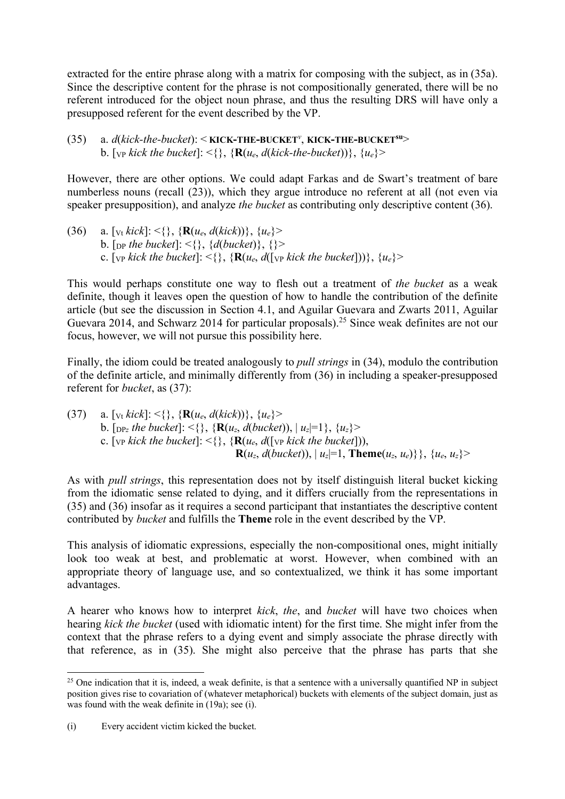extracted for the entire phrase along with a matrix for composing with the subject, as in (35a). Since the descriptive content for the phrase is not compositionally generated, there will be no referent introduced for the object noun phrase, and thus the resulting DRS will have only a presupposed referent for the event described by the VP.

(35) a. *d*(*kick-the-bucket*): < **KICK-THE-BUCKET***<sup>v</sup>* , **KICK-THE-BUCKETsu**> b. [ $v_P$  *kick the bucket*]: <{}, { $\mathbf{R}(u_e, d(kick-the-bucker))$ }, { $u_e$ }>

However, there are other options. We could adapt Farkas and de Swart's treatment of bare numberless nouns (recall (23)), which they argue introduce no referent at all (not even via speaker presupposition), and analyze *the bucket* as contributing only descriptive content (36).

(36) a.  $[v_t \text{ kick}]: \{ \}, \{ \mathbf{R}(u_e, d(\text{kick})) \}, \{ u_e \}$ b. [pp *the bucket*]:  $\{\}$ ,  $\{d(bucker)\}$ ,  $\{\}$ c. [vp *kick the bucket*]:  $\{\}, \{R(u_e, d(\lceil \text{vp } kick \text{ the bucket} \rceil))\}, \{u_e\}$ 

This would perhaps constitute one way to flesh out a treatment of *the bucket* as a weak definite, though it leaves open the question of how to handle the contribution of the definite article (but see the discussion in Section 4.1, and Aguilar Guevara and Zwarts 2011, Aguilar Guevara 2014, and Schwarz 2014 for particular proposals).<sup>25</sup> Since weak definites are not our focus, however, we will not pursue this possibility here.

Finally, the idiom could be treated analogously to *pull strings* in (34), modulo the contribution of the definite article, and minimally differently from (36) in including a speaker-presupposed referent for *bucket*, as (37):

(37) a.  $[v_t \text{ kick}]$ : <{}, {**R**( $u_e$ ,  $d(kick)$ )}, { $u_e$ }> b. [ $_{\text{DPz}}$  *the bucket*]: <{}, { $\mathbf{R}(u_z, d(\text{bucket})), |u_z|=1$ }, { $u_z$ }> c. [ $_{VP}$  *kick the bucket*]: <{}, { $\mathbf{R}(u_e, d(\lceil v_p \text{ kick the bucket} \rceil)),$ **R**( $u_z$ ,  $d(buckets)$ ),  $|u_z|=1$ , **Theme**( $u_z$ ,  $u_e$ )}},  $\{u_e, u_z\}$ >

As with *pull strings*, this representation does not by itself distinguish literal bucket kicking from the idiomatic sense related to dying, and it differs crucially from the representations in (35) and (36) insofar as it requires a second participant that instantiates the descriptive content contributed by *bucket* and fulfills the **Theme** role in the event described by the VP.

This analysis of idiomatic expressions, especially the non-compositional ones, might initially look too weak at best, and problematic at worst. However, when combined with an appropriate theory of language use, and so contextualized, we think it has some important advantages.

A hearer who knows how to interpret *kick*, *the*, and *bucket* will have two choices when hearing *kick the bucket* (used with idiomatic intent) for the first time. She might infer from the context that the phrase refers to a dying event and simply associate the phrase directly with that reference, as in (35). She might also perceive that the phrase has parts that she

 <sup>25</sup> One indication that it is, indeed, a weak definite, is that a sentence with a universally quantified NP in subject position gives rise to covariation of (whatever metaphorical) buckets with elements of the subject domain, just as was found with the weak definite in (19a); see (i).

<sup>(</sup>i) Every accident victim kicked the bucket.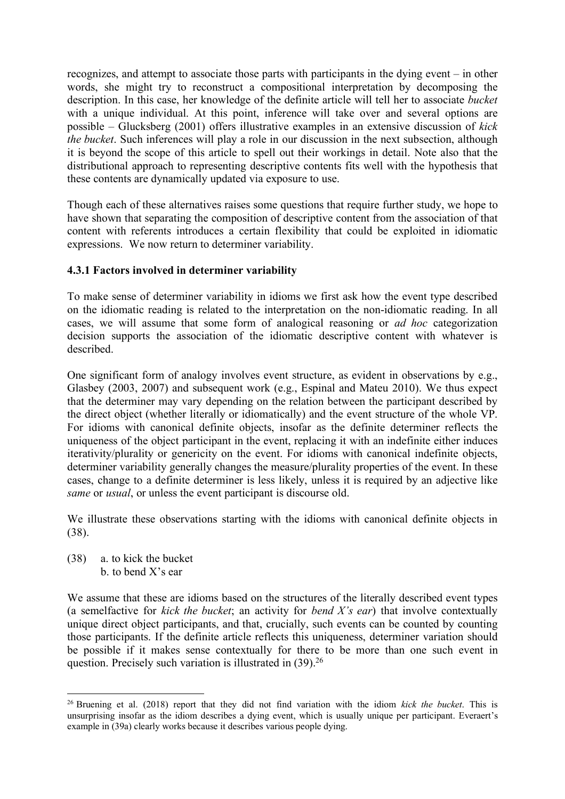recognizes, and attempt to associate those parts with participants in the dying event – in other words, she might try to reconstruct a compositional interpretation by decomposing the description. In this case, her knowledge of the definite article will tell her to associate *bucket* with a unique individual. At this point, inference will take over and several options are possible – Glucksberg (2001) offers illustrative examples in an extensive discussion of *kick the bucket*. Such inferences will play a role in our discussion in the next subsection, although it is beyond the scope of this article to spell out their workings in detail. Note also that the distributional approach to representing descriptive contents fits well with the hypothesis that these contents are dynamically updated via exposure to use.

Though each of these alternatives raises some questions that require further study, we hope to have shown that separating the composition of descriptive content from the association of that content with referents introduces a certain flexibility that could be exploited in idiomatic expressions. We now return to determiner variability.

#### **4.3.1 Factors involved in determiner variability**

To make sense of determiner variability in idioms we first ask how the event type described on the idiomatic reading is related to the interpretation on the non-idiomatic reading. In all cases, we will assume that some form of analogical reasoning or *ad hoc* categorization decision supports the association of the idiomatic descriptive content with whatever is described.

One significant form of analogy involves event structure, as evident in observations by e.g., Glasbey (2003, 2007) and subsequent work (e.g., Espinal and Mateu 2010). We thus expect that the determiner may vary depending on the relation between the participant described by the direct object (whether literally or idiomatically) and the event structure of the whole VP. For idioms with canonical definite objects, insofar as the definite determiner reflects the uniqueness of the object participant in the event, replacing it with an indefinite either induces iterativity/plurality or genericity on the event. For idioms with canonical indefinite objects, determiner variability generally changes the measure/plurality properties of the event. In these cases, change to a definite determiner is less likely, unless it is required by an adjective like *same* or *usual*, or unless the event participant is discourse old.

We illustrate these observations starting with the idioms with canonical definite objects in (38).

(38) a. to kick the bucket b. to bend X's ear

 

We assume that these are idioms based on the structures of the literally described event types (a semelfactive for *kick the bucket*; an activity for *bend X's ear*) that involve contextually unique direct object participants, and that, crucially, such events can be counted by counting those participants. If the definite article reflects this uniqueness, determiner variation should be possible if it makes sense contextually for there to be more than one such event in question. Precisely such variation is illustrated in (39).26

<sup>26</sup> Bruening et al. (2018) report that they did not find variation with the idiom *kick the bucket*. This is unsurprising insofar as the idiom describes a dying event, which is usually unique per participant. Everaert's example in (39a) clearly works because it describes various people dying.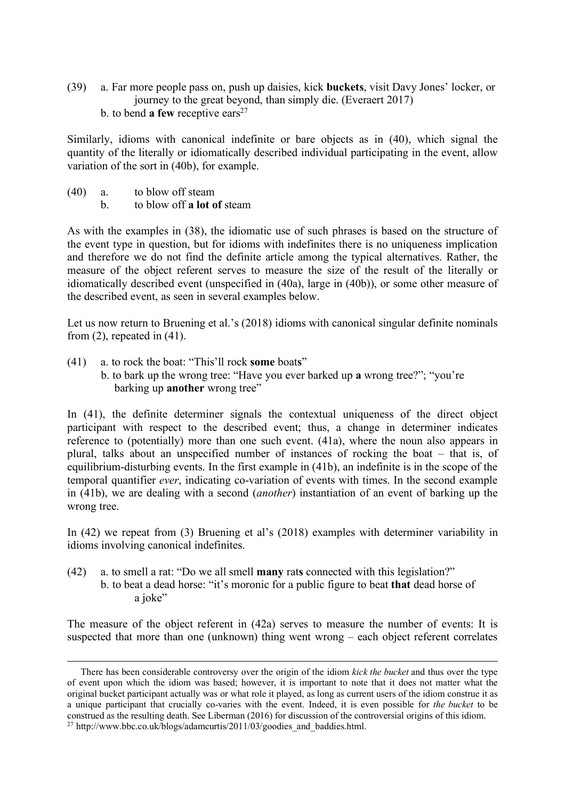- (39) a. Far more people pass on, push up daisies, kick **buckets**, visit Davy Jones' locker, or journey to the great beyond, than simply die. (Everaert 2017)
	- b. to bend **a few** receptive ears<sup>27</sup>

Similarly, idioms with canonical indefinite or bare objects as in (40), which signal the quantity of the literally or idiomatically described individual participating in the event, allow variation of the sort in (40b), for example.

(40) a. to blow off steam b. to blow off **a lot of** steam

As with the examples in (38), the idiomatic use of such phrases is based on the structure of the event type in question, but for idioms with indefinites there is no uniqueness implication and therefore we do not find the definite article among the typical alternatives. Rather, the measure of the object referent serves to measure the size of the result of the literally or idiomatically described event (unspecified in (40a), large in (40b)), or some other measure of the described event, as seen in several examples below.

Let us now return to Bruening et al.'s (2018) idioms with canonical singular definite nominals from  $(2)$ , repeated in  $(41)$ .

(41) a. to rock the boat: "This'll rock **some** boat**s**" b. to bark up the wrong tree: "Have you ever barked up **a** wrong tree?"; "you're barking up **another** wrong tree"

In (41), the definite determiner signals the contextual uniqueness of the direct object participant with respect to the described event; thus, a change in determiner indicates reference to (potentially) more than one such event. (41a), where the noun also appears in plural, talks about an unspecified number of instances of rocking the boat – that is, of equilibrium-disturbing events. In the first example in (41b), an indefinite is in the scope of the temporal quantifier *ever*, indicating co-variation of events with times. In the second example in (41b), we are dealing with a second (*another*) instantiation of an event of barking up the wrong tree.

In (42) we repeat from (3) Bruening et al's (2018) examples with determiner variability in idioms involving canonical indefinites.

(42) a. to smell a rat: "Do we all smell **many** rat**s** connected with this legislation?" b. to beat a dead horse: "it's moronic for a public figure to beat **that** dead horse of a joke"

The measure of the object referent in (42a) serves to measure the number of events: It is suspected that more than one (unknown) thing went wrong – each object referent correlates

<u> 1989 - Andrea San Andrea San Andrea San Andrea San Andrea San Andrea San Andrea San Andrea San Andrea San An</u>

There has been considerable controversy over the origin of the idiom *kick the bucket* and thus over the type of event upon which the idiom was based; however, it is important to note that it does not matter what the original bucket participant actually was or what role it played, as long as current users of the idiom construe it as a unique participant that crucially co-varies with the event. Indeed, it is even possible for *the bucket* to be construed as the resulting death. See Liberman (2016) for discussion of the controversial origins of this idiom. <sup>27</sup> http://www.bbc.co.uk/blogs/adamcurtis/2011/03/goodies and baddies.html.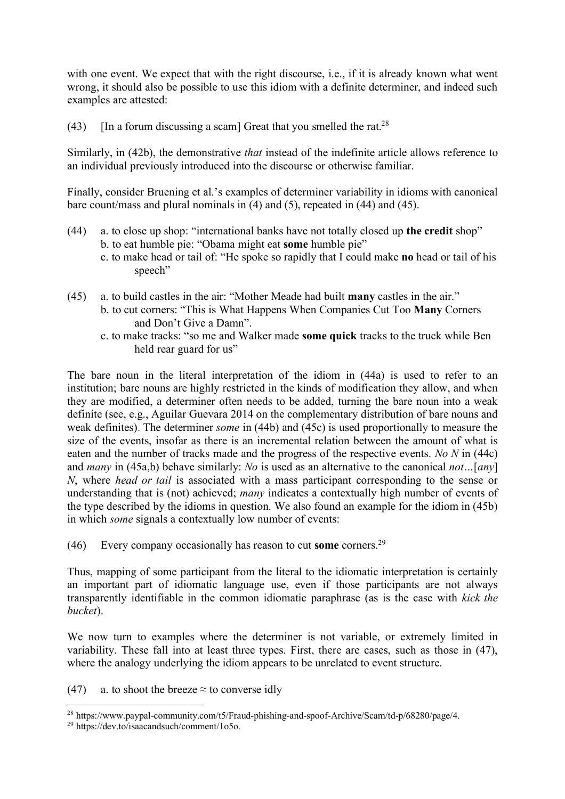with one event. We expect that with the right discourse, i.e., if it is already known what went wrong, it should also be possible to use this idiom with a definite determiner, and indeed such examples are attested:

(43) [In a forum discussing a scam] Great that you smelled the rat.<sup>28</sup>

Similarly, in (42b), the demonstrative *that* instead of the indefinite article allows reference to an individual previously introduced into the discourse or otherwise familiar.

Finally, consider Bruening et al.'s examples of determiner variability in idioms with canonical bare count/mass and plural nominals in (4) and (5), repeated in (44) and (45).

- (44) a. to close up shop: "international banks have not totally closed up **the credit** shop" b. to eat humble pie: "Obama might eat **some** humble pie"
	- c. to make head or tail of: "He spoke so rapidly that I could make **no** head or tail of his speech"
- (45) a. to build castles in the air: "Mother Meade had built **many** castles in the air." b. to cut corners: "This is What Happens When Companies Cut Too **Many** Corners and Don't Give a Damn".
	- c. to make tracks: "so me and Walker made **some quick** tracks to the truck while Ben held rear guard for us"

The bare noun in the literal interpretation of the idiom in (44a) is used to refer to an institution; bare nouns are highly restricted in the kinds of modification they allow, and when they are modified, a determiner often needs to be added, turning the bare noun into a weak definite (see, e.g., Aguilar Guevara 2014 on the complementary distribution of bare nouns and weak definites). The determiner *some* in (44b) and (45c) is used proportionally to measure the size of the events, insofar as there is an incremental relation between the amount of what is eaten and the number of tracks made and the progress of the respective events. *No N* in (44c) and *many* in (45a,b) behave similarly: *No* is used as an alternative to the canonical *not…*[*any*] *N*, where *head or tail* is associated with a mass participant corresponding to the sense or understanding that is (not) achieved; *many* indicates a contextually high number of events of the type described by the idioms in question. We also found an example for the idiom in (45b) in which *some* signals a contextually low number of events:

(46) Every company occasionally has reason to cut **some** corners. 29

Thus, mapping of some participant from the literal to the idiomatic interpretation is certainly an important part of idiomatic language use, even if those participants are not always transparently identifiable in the common idiomatic paraphrase (as is the case with *kick the bucket*).

We now turn to examples where the determiner is not variable, or extremely limited in variability. These fall into at least three types. First, there are cases, such as those in (47), where the analogy underlying the idiom appears to be unrelated to event structure.

(47) a. to shoot the breeze  $\approx$  to converse idly

<sup>&</sup>lt;sup>28</sup> https://www.paypal-community.com/t5/Fraud-phishing-and-spoof-Archive/Scam/td-p/68280/page/4.

<sup>29</sup> https://dev.to/isaacandsuch/comment/1o5o.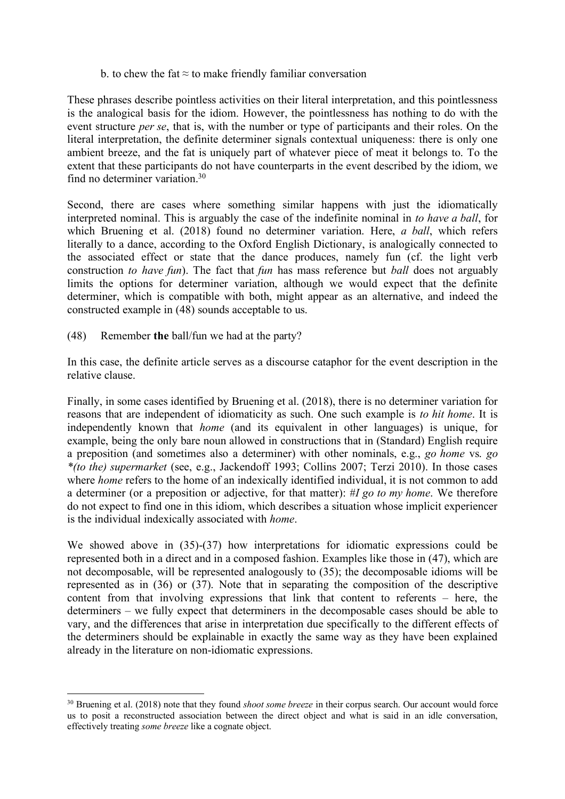#### b. to chew the fat  $\approx$  to make friendly familiar conversation

These phrases describe pointless activities on their literal interpretation, and this pointlessness is the analogical basis for the idiom. However, the pointlessness has nothing to do with the event structure *per se*, that is, with the number or type of participants and their roles. On the literal interpretation, the definite determiner signals contextual uniqueness: there is only one ambient breeze, and the fat is uniquely part of whatever piece of meat it belongs to. To the extent that these participants do not have counterparts in the event described by the idiom, we find no determiner variation.30

Second, there are cases where something similar happens with just the idiomatically interpreted nominal. This is arguably the case of the indefinite nominal in *to have a ball*, for which Bruening et al. (2018) found no determiner variation. Here, *a ball*, which refers literally to a dance, according to the Oxford English Dictionary, is analogically connected to the associated effect or state that the dance produces, namely fun (cf. the light verb construction *to have fun*). The fact that *fun* has mass reference but *ball* does not arguably limits the options for determiner variation, although we would expect that the definite determiner, which is compatible with both, might appear as an alternative, and indeed the constructed example in (48) sounds acceptable to us.

(48) Remember **the** ball/fun we had at the party?

 

In this case, the definite article serves as a discourse cataphor for the event description in the relative clause.

Finally, in some cases identified by Bruening et al. (2018), there is no determiner variation for reasons that are independent of idiomaticity as such. One such example is *to hit home*. It is independently known that *home* (and its equivalent in other languages) is unique, for example, being the only bare noun allowed in constructions that in (Standard) English require a preposition (and sometimes also a determiner) with other nominals, e.g., *go home* vs. *go \*(to the) supermarket* (see, e.g., Jackendoff 1993; Collins 2007; Terzi 2010). In those cases where *home* refers to the home of an indexically identified individual, it is not common to add a determiner (or a preposition or adjective, for that matter): #*I go to my home*. We therefore do not expect to find one in this idiom, which describes a situation whose implicit experiencer is the individual indexically associated with *home*.

We showed above in (35)-(37) how interpretations for idiomatic expressions could be represented both in a direct and in a composed fashion. Examples like those in (47), which are not decomposable, will be represented analogously to (35); the decomposable idioms will be represented as in (36) or (37). Note that in separating the composition of the descriptive content from that involving expressions that link that content to referents – here, the determiners – we fully expect that determiners in the decomposable cases should be able to vary, and the differences that arise in interpretation due specifically to the different effects of the determiners should be explainable in exactly the same way as they have been explained already in the literature on non-idiomatic expressions.

<sup>&</sup>lt;sup>30</sup> Bruening et al. (2018) note that they found *shoot some breeze* in their corpus search. Our account would force us to posit a reconstructed association between the direct object and what is said in an idle conversation, effectively treating *some breeze* like a cognate object.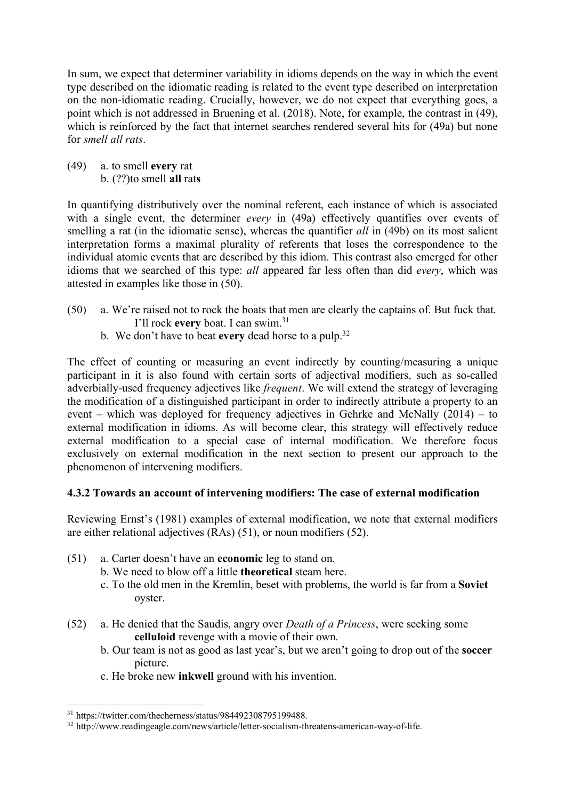In sum, we expect that determiner variability in idioms depends on the way in which the event type described on the idiomatic reading is related to the event type described on interpretation on the non-idiomatic reading. Crucially, however, we do not expect that everything goes, a point which is not addressed in Bruening et al. (2018). Note, for example, the contrast in (49), which is reinforced by the fact that internet searches rendered several hits for (49a) but none for *smell all rats*.

(49) a. to smell **every** rat b. (??)to smell **all** rat**s**

In quantifying distributively over the nominal referent, each instance of which is associated with a single event, the determiner *every* in (49a) effectively quantifies over events of smelling a rat (in the idiomatic sense), whereas the quantifier *all* in (49b) on its most salient interpretation forms a maximal plurality of referents that loses the correspondence to the individual atomic events that are described by this idiom. This contrast also emerged for other idioms that we searched of this type: *all* appeared far less often than did *every*, which was attested in examples like those in (50).

- (50) a. We're raised not to rock the boats that men are clearly the captains of. But fuck that. I'll rock **every** boat. I can swim.31
	- b. We don't have to beat **every** dead horse to a pulp.32

The effect of counting or measuring an event indirectly by counting/measuring a unique participant in it is also found with certain sorts of adjectival modifiers, such as so-called adverbially-used frequency adjectives like *frequent*. We will extend the strategy of leveraging the modification of a distinguished participant in order to indirectly attribute a property to an event – which was deployed for frequency adjectives in Gehrke and McNally (2014) – to external modification in idioms. As will become clear, this strategy will effectively reduce external modification to a special case of internal modification. We therefore focus exclusively on external modification in the next section to present our approach to the phenomenon of intervening modifiers.

# **4.3.2 Towards an account of intervening modifiers: The case of external modification**

Reviewing Ernst's (1981) examples of external modification, we note that external modifiers are either relational adjectives (RAs) (51), or noun modifiers (52).

- (51) a. Carter doesn't have an **economic** leg to stand on.
	- b. We need to blow off a little **theoretical** steam here.
	- c. To the old men in the Kremlin, beset with problems, the world is far from a **Soviet** oyster.
- (52) a. He denied that the Saudis, angry over *Death of a Princess*, were seeking some **celluloid** revenge with a movie of their own.
	- b. Our team is not as good as last year's, but we aren't going to drop out of the **soccer** picture.
	- c. He broke new **inkwell** ground with his invention.

<sup>31</sup> https://twitter.com/thecherness/status/984492308795199488.

<sup>32</sup> http://www.readingeagle.com/news/article/letter-socialism-threatens-american-way-of-life.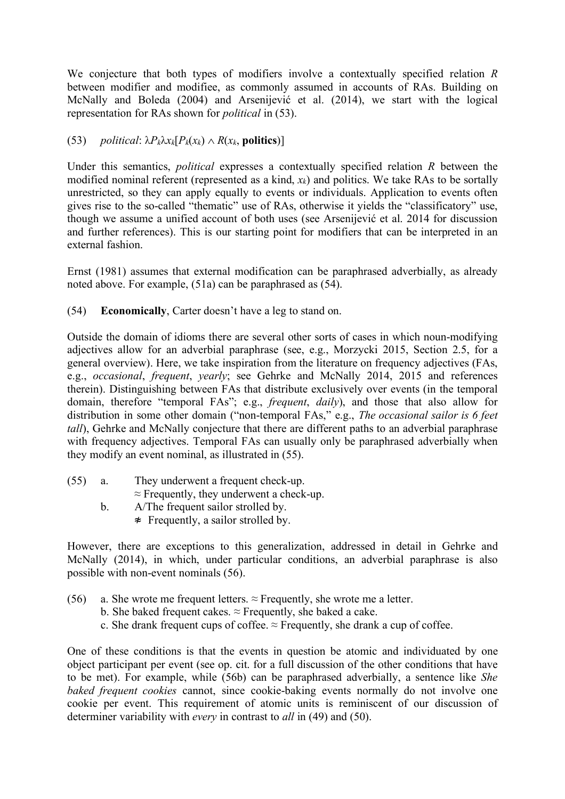We conjecture that both types of modifiers involve a contextually specified relation *R* between modifier and modifiee, as commonly assumed in accounts of RAs. Building on McNally and Boleda (2004) and Arsenijević et al. (2014), we start with the logical representation for RAs shown for *political* in (53).

## (53) *political*:  $\lambda P_k \lambda x_k [P_k(x_k) \wedge R(x_k, \text{polities})]$

Under this semantics, *political* expresses a contextually specified relation *R* between the modified nominal referent (represented as a kind, *xk*) and politics. We take RAs to be sortally unrestricted, so they can apply equally to events or individuals. Application to events often gives rise to the so-called "thematic" use of RAs, otherwise it yields the "classificatory" use, though we assume a unified account of both uses (see Arsenijević et al. 2014 for discussion and further references). This is our starting point for modifiers that can be interpreted in an external fashion.

Ernst (1981) assumes that external modification can be paraphrased adverbially, as already noted above. For example, (51a) can be paraphrased as (54).

(54) **Economically**, Carter doesn't have a leg to stand on.

Outside the domain of idioms there are several other sorts of cases in which noun-modifying adjectives allow for an adverbial paraphrase (see, e.g., Morzycki 2015, Section 2.5, for a general overview). Here, we take inspiration from the literature on frequency adjectives (FAs, e.g., *occasional*, *frequent*, *yearly*; see Gehrke and McNally 2014, 2015 and references therein). Distinguishing between FAs that distribute exclusively over events (in the temporal domain, therefore "temporal FAs"; e.g., *frequent*, *daily*), and those that also allow for distribution in some other domain ("non-temporal FAs," e.g., *The occasional sailor is 6 feet tall*), Gehrke and McNally conjecture that there are different paths to an adverbial paraphrase with frequency adjectives. Temporal FAs can usually only be paraphrased adverbially when they modify an event nominal, as illustrated in (55).

(55) a. They underwent a frequent check-up.

 $\approx$  Frequently, they underwent a check-up.

- b. A/The frequent sailor strolled by.
	- ≉ Frequently, a sailor strolled by.

However, there are exceptions to this generalization, addressed in detail in Gehrke and McNally (2014), in which, under particular conditions, an adverbial paraphrase is also possible with non-event nominals (56).

(56) a. She wrote me frequent letters.  $\approx$  Frequently, she wrote me a letter.

b. She baked frequent cakes.  $\approx$  Frequently, she baked a cake.

c. She drank frequent cups of coffee.  $\approx$  Frequently, she drank a cup of coffee.

One of these conditions is that the events in question be atomic and individuated by one object participant per event (see op. cit. for a full discussion of the other conditions that have to be met). For example, while (56b) can be paraphrased adverbially, a sentence like *She baked frequent cookies* cannot, since cookie-baking events normally do not involve one cookie per event. This requirement of atomic units is reminiscent of our discussion of determiner variability with *every* in contrast to *all* in (49) and (50).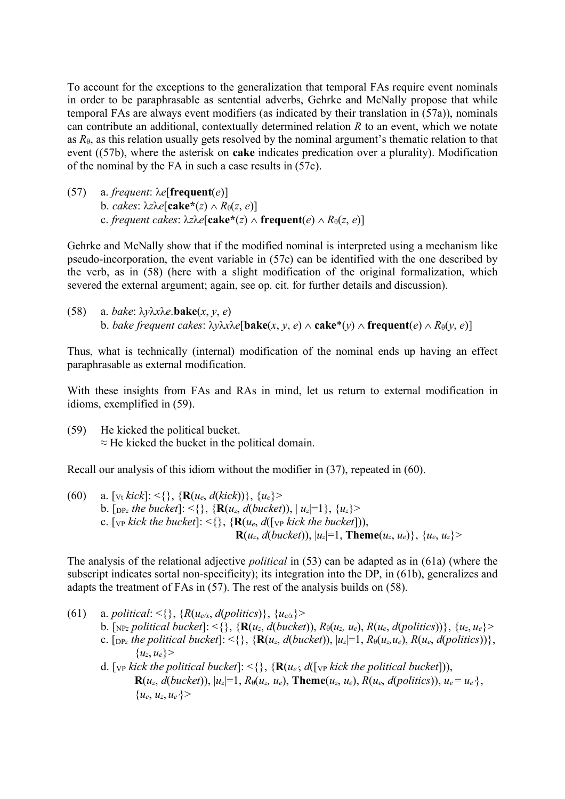To account for the exceptions to the generalization that temporal FAs require event nominals in order to be paraphrasable as sentential adverbs, Gehrke and McNally propose that while temporal FAs are always event modifiers (as indicated by their translation in (57a)), nominals can contribute an additional, contextually determined relation *R* to an event, which we notate as *R*θ, as this relation usually gets resolved by the nominal argument's thematic relation to that event ((57b), where the asterisk on **cake** indicates predication over a plurality). Modification of the nominal by the FA in such a case results in (57c).

(57) a. *frequent*: λ*e*[**frequent**(*e*)] **b**. *cakes*:  $\lambda z \lambda e$ [**cake**<sup>\*</sup>(*z*)  $\wedge$  *R*<sub>θ</sub>(*z*, *e*)] c. *frequent cakes*:  $\lambda z \lambda e$ [**cake**<sup>\*</sup>(*z*)  $\wedge$  **frequent**(*e*)  $\wedge$  *R*<sub> $\theta$ </sub>(*z*, *e*)]

Gehrke and McNally show that if the modified nominal is interpreted using a mechanism like pseudo-incorporation, the event variable in (57c) can be identified with the one described by the verb, as in (58) (here with a slight modification of the original formalization, which severed the external argument; again, see op. cit. for further details and discussion).

(58) a. *bake*: λ*y*λ*x*λ*e*.**bake**(*x*, *y*, *e*) **b**. *bake frequent cakes*: *λyλxλe*[**bake**(*x*, *y*, *e*)  $\land$  **cake**\*(*y*)  $\land$  **frequent**(*e*)  $\land$  *R*<sub>θ</sub>(*y*, *e*)]

Thus, what is technically (internal) modification of the nominal ends up having an effect paraphrasable as external modification.

With these insights from FAs and RAs in mind, let us return to external modification in idioms, exemplified in (59).

(59) He kicked the political bucket.  $\approx$  He kicked the bucket in the political domain.

Recall our analysis of this idiom without the modifier in (37), repeated in (60).

(60) a.  $[v_t \text{ kick}]$ : <{}, {**R**( $u_e$ ,  $d(kick)$ )}, { $u_e$ }> b.  $[p_z$  *the bucket*]: <{}, { $\mathbf{R}(u_z, d(backet))$ ,  $|u_z|=1$ }, { $u_z$ }> c. [vp *kick the bucket*]:  $\{\}, \{R(u_e, d(\lceil \sqrt{v} \rceil \, kick \, the \, bucket \rceil)),$ **R**( $u_z$ , *d*(*bucket*)),  $|u_z|=1$ , **Theme**( $u_z$ ,  $u_e$ )},  $\{u_e, u_z\}$ >

The analysis of the relational adjective *political* in (53) can be adapted as in (61a) (where the subscript indicates sortal non-specificity); its integration into the DP, in (61b), generalizes and adapts the treatment of FAs in (57). The rest of the analysis builds on (58).

- (61) a. *political*: <{}, { $R(u_{e/x}, d(politics))$ }, { $u_{e/x}$ }> b.  $[\text{NP}_z \text{ political bucket}]$ : <{}, { $\mathbf{R}(u_z, d(\text{bucket})), R_{\theta}(u_z, u_e), R(u_e, d(\text{politics})), \{u_z, u_e\}$ > c.  $[p_z$  *the political bucket*]:  $\langle \{\}, \{R(u_z, d(buckets)), |u_z|=1, R_\theta(u_z, u_e), R(u_e, d(politics))\}\rangle$  $\{u_z, u_e\}$ 
	- d. [vp *kick the political bucket*]:  $\{\}, \{R(u_e, d)$ [vp *kick the political bucket*])), **R**( $u_z$ , *d*(*bucket*)),  $|u_z|=1$ ,  $R_\theta(u_z, u_e)$ , **Theme**( $u_z, u_e$ ),  $R(u_e, d(\textit{politics}))$ ,  $u_e=u_e\$ . {*ue*, *uz*, *ue*¢}>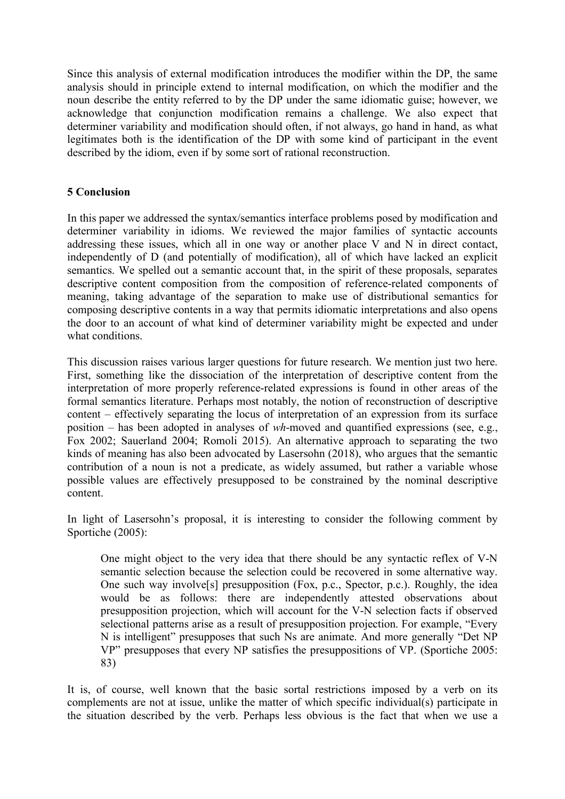Since this analysis of external modification introduces the modifier within the DP, the same analysis should in principle extend to internal modification, on which the modifier and the noun describe the entity referred to by the DP under the same idiomatic guise; however, we acknowledge that conjunction modification remains a challenge. We also expect that determiner variability and modification should often, if not always, go hand in hand, as what legitimates both is the identification of the DP with some kind of participant in the event described by the idiom, even if by some sort of rational reconstruction.

## **5 Conclusion**

In this paper we addressed the syntax/semantics interface problems posed by modification and determiner variability in idioms. We reviewed the major families of syntactic accounts addressing these issues, which all in one way or another place V and N in direct contact, independently of D (and potentially of modification), all of which have lacked an explicit semantics. We spelled out a semantic account that, in the spirit of these proposals, separates descriptive content composition from the composition of reference-related components of meaning, taking advantage of the separation to make use of distributional semantics for composing descriptive contents in a way that permits idiomatic interpretations and also opens the door to an account of what kind of determiner variability might be expected and under what conditions.

This discussion raises various larger questions for future research. We mention just two here. First, something like the dissociation of the interpretation of descriptive content from the interpretation of more properly reference-related expressions is found in other areas of the formal semantics literature. Perhaps most notably, the notion of reconstruction of descriptive content – effectively separating the locus of interpretation of an expression from its surface position – has been adopted in analyses of *wh*-moved and quantified expressions (see, e.g., Fox 2002; Sauerland 2004; Romoli 2015). An alternative approach to separating the two kinds of meaning has also been advocated by Lasersohn (2018), who argues that the semantic contribution of a noun is not a predicate, as widely assumed, but rather a variable whose possible values are effectively presupposed to be constrained by the nominal descriptive content.

In light of Lasersohn's proposal, it is interesting to consider the following comment by Sportiche (2005):

One might object to the very idea that there should be any syntactic reflex of V-N semantic selection because the selection could be recovered in some alternative way. One such way involve[s] presupposition (Fox, p.c., Spector, p.c.). Roughly, the idea would be as follows: there are independently attested observations about presupposition projection, which will account for the V-N selection facts if observed selectional patterns arise as a result of presupposition projection. For example, "Every N is intelligent" presupposes that such Ns are animate. And more generally "Det NP VP" presupposes that every NP satisfies the presuppositions of VP. (Sportiche 2005: 83)

It is, of course, well known that the basic sortal restrictions imposed by a verb on its complements are not at issue, unlike the matter of which specific individual(s) participate in the situation described by the verb. Perhaps less obvious is the fact that when we use a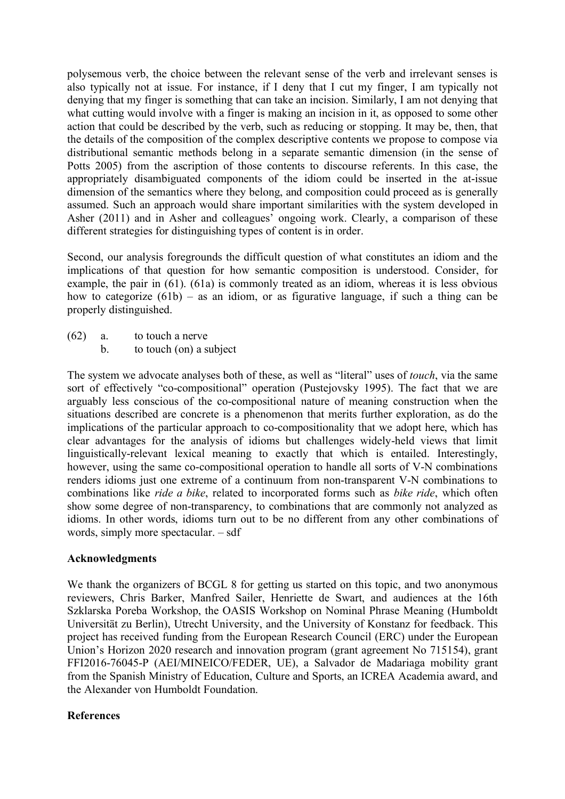polysemous verb, the choice between the relevant sense of the verb and irrelevant senses is also typically not at issue. For instance, if I deny that I cut my finger, I am typically not denying that my finger is something that can take an incision. Similarly, I am not denying that what cutting would involve with a finger is making an incision in it, as opposed to some other action that could be described by the verb, such as reducing or stopping. It may be, then, that the details of the composition of the complex descriptive contents we propose to compose via distributional semantic methods belong in a separate semantic dimension (in the sense of Potts 2005) from the ascription of those contents to discourse referents. In this case, the appropriately disambiguated components of the idiom could be inserted in the at-issue dimension of the semantics where they belong, and composition could proceed as is generally assumed. Such an approach would share important similarities with the system developed in Asher (2011) and in Asher and colleagues' ongoing work. Clearly, a comparison of these different strategies for distinguishing types of content is in order.

Second, our analysis foregrounds the difficult question of what constitutes an idiom and the implications of that question for how semantic composition is understood. Consider, for example, the pair in (61). (61a) is commonly treated as an idiom, whereas it is less obvious how to categorize (61b) – as an idiom, or as figurative language, if such a thing can be properly distinguished.

- (62) a. to touch a nerve
	- b. to touch (on) a subject

The system we advocate analyses both of these, as well as "literal" uses of *touch*, via the same sort of effectively "co-compositional" operation (Pustejovsky 1995). The fact that we are arguably less conscious of the co-compositional nature of meaning construction when the situations described are concrete is a phenomenon that merits further exploration, as do the implications of the particular approach to co-compositionality that we adopt here, which has clear advantages for the analysis of idioms but challenges widely-held views that limit linguistically-relevant lexical meaning to exactly that which is entailed. Interestingly, however, using the same co-compositional operation to handle all sorts of V-N combinations renders idioms just one extreme of a continuum from non-transparent V-N combinations to combinations like *ride a bike*, related to incorporated forms such as *bike ride*, which often show some degree of non-transparency, to combinations that are commonly not analyzed as idioms. In other words, idioms turn out to be no different from any other combinations of words, simply more spectacular. – sdf

#### **Acknowledgments**

We thank the organizers of BCGL 8 for getting us started on this topic, and two anonymous reviewers, Chris Barker, Manfred Sailer, Henriette de Swart, and audiences at the 16th Szklarska Poreba Workshop, the OASIS Workshop on Nominal Phrase Meaning (Humboldt Universität zu Berlin), Utrecht University, and the University of Konstanz for feedback. This project has received funding from the European Research Council (ERC) under the European Union's Horizon 2020 research and innovation program (grant agreement No 715154), grant FFI2016-76045-P (AEI/MINEICO/FEDER, UE), a Salvador de Madariaga mobility grant from the Spanish Ministry of Education, Culture and Sports, an ICREA Academia award, and the Alexander von Humboldt Foundation.

#### **References**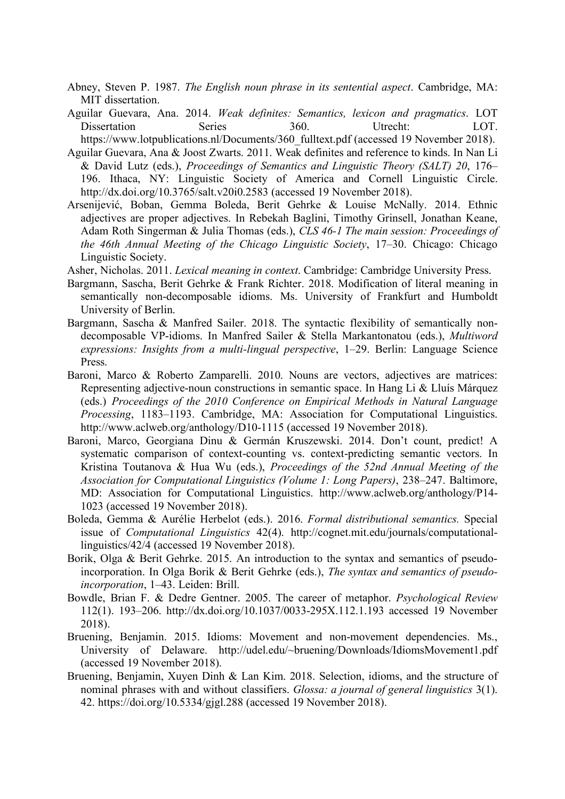- Abney, Steven P. 1987. *The English noun phrase in its sentential aspect*. Cambridge, MA: MIT dissertation.
- Aguilar Guevara, Ana. 2014. *Weak definites: Semantics, lexicon and pragmatics*. LOT Dissertation Series 360. Utrecht: LOT. https://www.lotpublications.nl/Documents/360 fulltext.pdf (accessed 19 November 2018).
- Aguilar Guevara, Ana & Joost Zwarts. 2011. Weak definites and reference to kinds. In Nan Li & David Lutz (eds.), *Proceedings of Semantics and Linguistic Theory (SALT) 20*, 176– 196. Ithaca, NY: Linguistic Society of America and Cornell Linguistic Circle. http://dx.doi.org/10.3765/salt.v20i0.2583 (accessed 19 November 2018).
- Arsenijević, Boban, Gemma Boleda, Berit Gehrke & Louise McNally. 2014. Ethnic adjectives are proper adjectives. In Rebekah Baglini, Timothy Grinsell, Jonathan Keane, Adam Roth Singerman & Julia Thomas (eds.), *CLS 46-1 The main session: Proceedings of the 46th Annual Meeting of the Chicago Linguistic Society*, 17–30. Chicago: Chicago Linguistic Society.
- Asher, Nicholas. 2011. *Lexical meaning in context*. Cambridge: Cambridge University Press.
- Bargmann, Sascha, Berit Gehrke & Frank Richter. 2018. Modification of literal meaning in semantically non-decomposable idioms. Ms. University of Frankfurt and Humboldt University of Berlin.
- Bargmann, Sascha & Manfred Sailer. 2018. The syntactic flexibility of semantically nondecomposable VP-idioms. In Manfred Sailer & Stella Markantonatou (eds.), *Multiword expressions: Insights from a multi-lingual perspective*, 1–29. Berlin: Language Science Press.
- Baroni, Marco & Roberto Zamparelli. 2010. Nouns are vectors, adjectives are matrices: Representing adjective-noun constructions in semantic space. In Hang Li & Lluís Márquez (eds.) *Proceedings of the 2010 Conference on Empirical Methods in Natural Language Processing*, 1183–1193. Cambridge, MA: Association for Computational Linguistics. http://www.aclweb.org/anthology/D10-1115 (accessed 19 November 2018).
- Baroni, Marco, Georgiana Dinu & Germán Kruszewski. 2014. Don't count, predict! A systematic comparison of context-counting vs. context-predicting semantic vectors. In Kristina Toutanova & Hua Wu (eds.), *Proceedings of the 52nd Annual Meeting of the Association for Computational Linguistics (Volume 1: Long Papers)*, 238–247. Baltimore, MD: Association for Computational Linguistics. http://www.aclweb.org/anthology/P14- 1023 (accessed 19 November 2018).
- Boleda, Gemma & Aurélie Herbelot (eds.). 2016. *Formal distributional semantics.* Special issue of *Computational Linguistics* 42(4). http://cognet.mit.edu/journals/computationallinguistics/42/4 (accessed 19 November 2018).
- Borik, Olga & Berit Gehrke. 2015. An introduction to the syntax and semantics of pseudoincorporation. In Olga Borik & Berit Gehrke (eds.), *The syntax and semantics of pseudoincorporation*, 1–43. Leiden: Brill.
- Bowdle, Brian F. & Dedre Gentner. 2005. The career of metaphor. *Psychological Review* 112(1). 193–206. http://dx.doi.org/10.1037/0033-295X.112.1.193 accessed 19 November 2018).
- Bruening, Benjamin. 2015. Idioms: Movement and non-movement dependencies. Ms., University of Delaware. http://udel.edu/~bruening/Downloads/IdiomsMovement1.pdf (accessed 19 November 2018).
- Bruening, Benjamin, Xuyen Dinh & Lan Kim. 2018. Selection, idioms, and the structure of nominal phrases with and without classifiers. *Glossa: a journal of general linguistics* 3(1). 42. https://doi.org/10.5334/gjgl.288 (accessed 19 November 2018).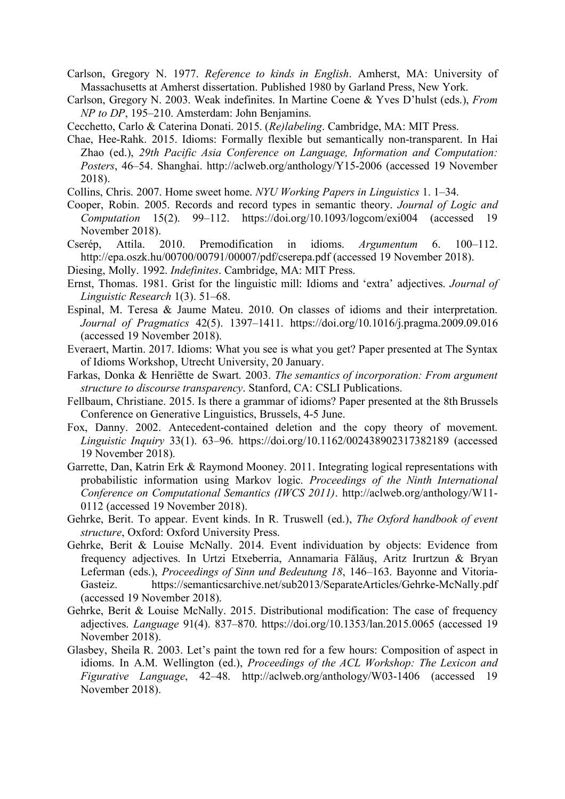- Carlson, Gregory N. 1977. *Reference to kinds in English*. Amherst, MA: University of Massachusetts at Amherst dissertation. Published 1980 by Garland Press, New York.
- Carlson, Gregory N. 2003. Weak indefinites. In Martine Coene & Yves D'hulst (eds.), *From NP to DP*, 195–210. Amsterdam: John Benjamins.
- Cecchetto, Carlo & Caterina Donati. 2015. (*Re)labeling*. Cambridge, MA: MIT Press.
- Chae, Hee-Rahk. 2015. Idioms: Formally flexible but semantically non-transparent. In Hai Zhao (ed.), *29th Pacific Asia Conference on Language, Information and Computation: Posters*, 46–54. Shanghai. http://aclweb.org/anthology/Y15-2006 (accessed 19 November 2018).
- Collins, Chris. 2007. Home sweet home. *NYU Working Papers in Linguistics* 1. 1–34.
- Cooper, Robin. 2005. Records and record types in semantic theory. *Journal of Logic and Computation* 15(2). 99–112. https://doi.org/10.1093/logcom/exi004 (accessed 19 November 2018).
- Cserép, Attila. 2010. Premodification in idioms. *Argumentum* 6. 100–112. http://epa.oszk.hu/00700/00791/00007/pdf/cserepa.pdf (accessed 19 November 2018).
- Diesing, Molly. 1992. *Indefinites*. Cambridge, MA: MIT Press.
- Ernst, Thomas. 1981. Grist for the linguistic mill: Idioms and 'extra' adjectives. *Journal of Linguistic Research* 1(3). 51–68.
- Espinal, M. Teresa & Jaume Mateu. 2010. On classes of idioms and their interpretation. *Journal of Pragmatics* 42(5). 1397–1411. https://doi.org/10.1016/j.pragma.2009.09.016 (accessed 19 November 2018).
- Everaert, Martin. 2017. Idioms: What you see is what you get? Paper presented at The Syntax of Idioms Workshop, Utrecht University, 20 January.
- Farkas, Donka & Henriëtte de Swart. 2003. *The semantics of incorporation: From argument structure to discourse transparency*. Stanford, CA: CSLI Publications.
- Fellbaum, Christiane. 2015. Is there a grammar of idioms? Paper presented at the 8th Brussels Conference on Generative Linguistics, Brussels, 4-5 June.
- Fox, Danny. 2002. Antecedent-contained deletion and the copy theory of movement. *Linguistic Inquiry* 33(1). 63–96. https://doi.org/10.1162/002438902317382189 (accessed 19 November 2018).
- Garrette, Dan, Katrin Erk & Raymond Mooney. 2011. Integrating logical representations with probabilistic information using Markov logic. *Proceedings of the Ninth International Conference on Computational Semantics (IWCS 2011)*. http://aclweb.org/anthology/W11- 0112 (accessed 19 November 2018).
- Gehrke, Berit. To appear. Event kinds. In R. Truswell (ed.), *The Oxford handbook of event structure*, Oxford: Oxford University Press.
- Gehrke, Berit & Louise McNally. 2014. Event individuation by objects: Evidence from frequency adjectives. In Urtzi Etxeberria, Annamaria Fălăuş, Aritz Irurtzun & Bryan Leferman (eds.), *Proceedings of Sinn und Bedeutung 18*, 146–163. Bayonne and Vitoria-Gasteiz. https://semanticsarchive.net/sub2013/SeparateArticles/Gehrke-McNally.pdf (accessed 19 November 2018).
- Gehrke, Berit & Louise McNally. 2015. Distributional modification: The case of frequency adjectives. *Language* 91(4). 837–870. https://doi.org/10.1353/lan.2015.0065 (accessed 19 November 2018).
- Glasbey, Sheila R. 2003. Let's paint the town red for a few hours: Composition of aspect in idioms. In A.M. Wellington (ed.), *Proceedings of the ACL Workshop: The Lexicon and Figurative Language*, 42–48. http://aclweb.org/anthology/W03-1406 (accessed 19 November 2018).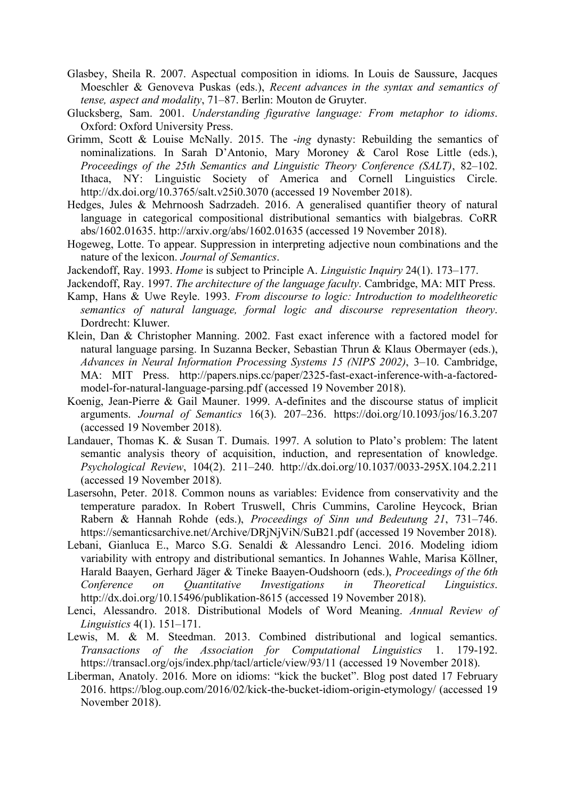- Glasbey, Sheila R. 2007. Aspectual composition in idioms. In Louis de Saussure, Jacques Moeschler & Genoveva Puskas (eds.), *Recent advances in the syntax and semantics of tense, aspect and modality*, 71–87. Berlin: Mouton de Gruyter.
- Glucksberg, Sam. 2001. *Understanding figurative language: From metaphor to idioms*. Oxford: Oxford University Press.
- Grimm, Scott & Louise McNally. 2015. The -*ing* dynasty: Rebuilding the semantics of nominalizations. In Sarah D'Antonio, Mary Moroney & Carol Rose Little (eds.), *Proceedings of the 25th Semantics and Linguistic Theory Conference (SALT)*, 82–102. Ithaca, NY: Linguistic Society of America and Cornell Linguistics Circle. http://dx.doi.org/10.3765/salt.v25i0.3070 (accessed 19 November 2018).
- Hedges, Jules & Mehrnoosh Sadrzadeh. 2016. A generalised quantifier theory of natural language in categorical compositional distributional semantics with bialgebras. CoRR abs/1602.01635. http://arxiv.org/abs/1602.01635 (accessed 19 November 2018).
- Hogeweg, Lotte. To appear. Suppression in interpreting adjective noun combinations and the nature of the lexicon. *Journal of Semantics*.
- Jackendoff, Ray. 1993. *Home* is subject to Principle A. *Linguistic Inquiry* 24(1). 173–177.

Jackendoff, Ray. 1997. *The architecture of the language faculty*. Cambridge, MA: MIT Press.

- Kamp, Hans & Uwe Reyle. 1993. *From discourse to logic: Introduction to modeltheoretic semantics of natural language, formal logic and discourse representation theory*. Dordrecht: Kluwer.
- Klein, Dan & Christopher Manning. 2002. Fast exact inference with a factored model for natural language parsing. In Suzanna Becker, Sebastian Thrun & Klaus Obermayer (eds.), *Advances in Neural Information Processing Systems 15 (NIPS 2002)*, 3–10. Cambridge, MA: MIT Press. http://papers.nips.cc/paper/2325-fast-exact-inference-with-a-factoredmodel-for-natural-language-parsing.pdf (accessed 19 November 2018).
- Koenig, Jean-Pierre & Gail Mauner. 1999. A-definites and the discourse status of implicit arguments. *Journal of Semantics* 16(3). 207–236. https://doi.org/10.1093/jos/16.3.207 (accessed 19 November 2018).
- Landauer, Thomas K. & Susan T. Dumais. 1997. A solution to Plato's problem: The latent semantic analysis theory of acquisition, induction, and representation of knowledge. *Psychological Review*, 104(2). 211–240. http://dx.doi.org/10.1037/0033-295X.104.2.211 (accessed 19 November 2018).
- Lasersohn, Peter. 2018. Common nouns as variables: Evidence from conservativity and the temperature paradox. In Robert Truswell, Chris Cummins, Caroline Heycock, Brian Rabern & Hannah Rohde (eds.), *Proceedings of Sinn und Bedeutung 21*, 731–746. https://semanticsarchive.net/Archive/DRjNjViN/SuB21.pdf (accessed 19 November 2018).
- Lebani, Gianluca E., Marco S.G. Senaldi & Alessandro Lenci. 2016. Modeling idiom variability with entropy and distributional semantics. In Johannes Wahle, Marisa Köllner, Harald Baayen, Gerhard Jäger & Tineke Baayen-Oudshoorn (eds.), *Proceedings of the 6th Conference on Quantitative Investigations in Theoretical Linguistics*. http://dx.doi.org/10.15496/publikation-8615 (accessed 19 November 2018).
- Lenci, Alessandro. 2018. Distributional Models of Word Meaning. *Annual Review of Linguistics* 4(1). 151–171.
- Lewis, M. & M. Steedman. 2013. Combined distributional and logical semantics. *Transactions of the Association for Computational Linguistics* 1. 179-192. https://transacl.org/ojs/index.php/tacl/article/view/93/11 (accessed 19 November 2018).
- Liberman, Anatoly. 2016. More on idioms: "kick the bucket". Blog post dated 17 February 2016. https://blog.oup.com/2016/02/kick-the-bucket-idiom-origin-etymology/ (accessed 19 November 2018).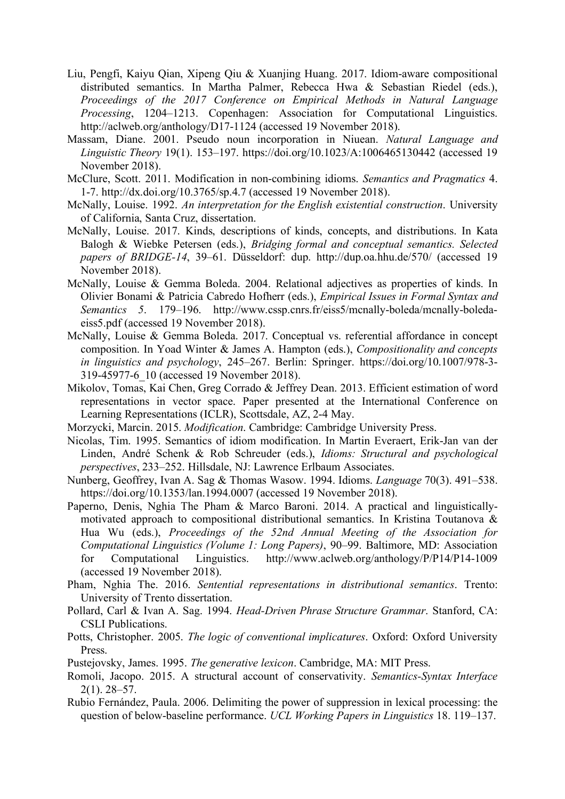- Liu, Pengfi, Kaiyu Qian, Xipeng Qiu & Xuanjing Huang. 2017. Idiom-aware compositional distributed semantics. In Martha Palmer, Rebecca Hwa & Sebastian Riedel (eds.), *Proceedings of the 2017 Conference on Empirical Methods in Natural Language Processing*, 1204–1213. Copenhagen: Association for Computational Linguistics. http://aclweb.org/anthology/D17-1124 (accessed 19 November 2018).
- Massam, Diane. 2001. Pseudo noun incorporation in Niuean. *Natural Language and Linguistic Theory* 19(1). 153–197. https://doi.org/10.1023/A:1006465130442 (accessed 19 November 2018).
- McClure, Scott. 2011. Modification in non-combining idioms. *Semantics and Pragmatics* 4. 1-7. http://dx.doi.org/10.3765/sp.4.7 (accessed 19 November 2018).
- McNally, Louise. 1992. *An interpretation for the English existential construction*. University of California, Santa Cruz, dissertation.
- McNally, Louise. 2017. Kinds, descriptions of kinds, concepts, and distributions. In Kata Balogh & Wiebke Petersen (eds.), *Bridging formal and conceptual semantics. Selected papers of BRIDGE-14*, 39–61. Düsseldorf: dup. http://dup.oa.hhu.de/570/ (accessed 19 November 2018).
- McNally, Louise & Gemma Boleda. 2004. Relational adjectives as properties of kinds. In Olivier Bonami & Patricia Cabredo Hofherr (eds.), *Empirical Issues in Formal Syntax and Semantics 5*. 179–196. http://www.cssp.cnrs.fr/eiss5/mcnally-boleda/mcnally-boledaeiss5.pdf (accessed 19 November 2018).
- McNally, Louise & Gemma Boleda. 2017. Conceptual vs. referential affordance in concept composition. In Yoad Winter & James A. Hampton (eds.), *Compositionality and concepts in linguistics and psychology*, 245–267. Berlin: Springer. https://doi.org/10.1007/978-3- 319-45977-6\_10 (accessed 19 November 2018).
- Mikolov, Tomas, Kai Chen, Greg Corrado & Jeffrey Dean. 2013. Efficient estimation of word representations in vector space. Paper presented at the International Conference on Learning Representations (ICLR), Scottsdale, AZ, 2-4 May.
- Morzycki, Marcin. 2015. *Modification*. Cambridge: Cambridge University Press.
- Nicolas, Tim. 1995. Semantics of idiom modification. In Martin Everaert, Erik-Jan van der Linden, André Schenk & Rob Schreuder (eds.), *Idioms: Structural and psychological perspectives*, 233–252. Hillsdale, NJ: Lawrence Erlbaum Associates.
- Nunberg, Geoffrey, Ivan A. Sag & Thomas Wasow. 1994. Idioms. *Language* 70(3). 491–538. https://doi.org/10.1353/lan.1994.0007 (accessed 19 November 2018).
- Paperno, Denis, Nghia The Pham & Marco Baroni. 2014. A practical and linguisticallymotivated approach to compositional distributional semantics. In Kristina Toutanova & Hua Wu (eds.), *Proceedings of the 52nd Annual Meeting of the Association for Computational Linguistics (Volume 1: Long Papers)*, 90–99. Baltimore, MD: Association for Computational Linguistics. http://www.aclweb.org/anthology/P/P14/P14-1009 (accessed 19 November 2018).
- Pham, Nghia The. 2016. *Sentential representations in distributional semantics*. Trento: University of Trento dissertation.
- Pollard, Carl & Ivan A. Sag. 1994. *Head-Driven Phrase Structure Grammar*. Stanford, CA: CSLI Publications.
- Potts, Christopher. 2005. *The logic of conventional implicatures*. Oxford: Oxford University Press.
- Pustejovsky, James. 1995. *The generative lexicon*. Cambridge, MA: MIT Press.
- Romoli, Jacopo. 2015. A structural account of conservativity. *Semantics-Syntax Interface* 2(1). 28–57.
- Rubio Fernández, Paula. 2006. Delimiting the power of suppression in lexical processing: the question of below-baseline performance. *UCL Working Papers in Linguistics* 18. 119–137.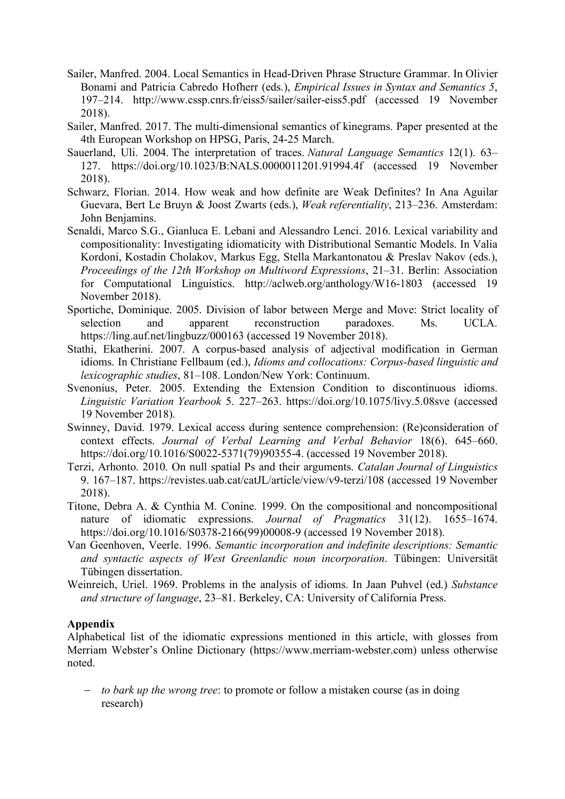- Sailer, Manfred. 2004. Local Semantics in Head-Driven Phrase Structure Grammar. In Olivier Bonami and Patricia Cabredo Hofherr (eds.), *Empirical Issues in Syntax and Semantics 5*, 197–214. http://www.cssp.cnrs.fr/eiss5/sailer/sailer-eiss5.pdf (accessed 19 November 2018).
- Sailer, Manfred. 2017. The multi-dimensional semantics of kinegrams. Paper presented at the 4th European Workshop on HPSG, Paris, 24-25 March.
- Sauerland, Uli. 2004. The interpretation of traces. *Natural Language Semantics* 12(1). 63– 127. https://doi.org/10.1023/B:NALS.0000011201.91994.4f (accessed 19 November 2018).
- Schwarz, Florian. 2014. How weak and how definite are Weak Definites? In Ana Aguilar Guevara, Bert Le Bruyn & Joost Zwarts (eds.), *Weak referentiality*, 213–236. Amsterdam: John Benjamins.
- Senaldi, Marco S.G., Gianluca E. Lebani and Alessandro Lenci. 2016. Lexical variability and compositionality: Investigating idiomaticity with Distributional Semantic Models. In Valia Kordoni, Kostadin Cholakov, Markus Egg, Stella Markantonatou & Preslav Nakov (eds.), *Proceedings of the 12th Workshop on Multiword Expressions*, 21–31. Berlin: Association for Computational Linguistics. http://aclweb.org/anthology/W16-1803 (accessed 19 November 2018).
- Sportiche, Dominique. 2005. Division of labor between Merge and Move: Strict locality of selection and apparent reconstruction paradoxes. Ms. UCLA. https://ling.auf.net/lingbuzz/000163 (accessed 19 November 2018).
- Stathi, Ekatherini. 2007. A corpus-based analysis of adjectival modification in German idioms. In Christiane Fellbaum (ed.), *Idioms and collocations: Corpus-based linguistic and lexicographic studies*, 81–108. London/New York: Continuum.
- Svenonius, Peter. 2005. Extending the Extension Condition to discontinuous idioms. *Linguistic Variation Yearbook* 5. 227–263. https://doi.org/10.1075/livy.5.08sve (accessed 19 November 2018).
- Swinney, David. 1979. Lexical access during sentence comprehension: (Re)consideration of context effects. *Journal of Verbal Learning and Verbal Behavior* 18(6). 645–660. https://doi.org/10.1016/S0022-5371(79)90355-4. (accessed 19 November 2018).
- Terzi, Arhonto. 2010. On null spatial Ps and their arguments. *Catalan Journal of Linguistics*  9. 167–187. https://revistes.uab.cat/catJL/article/view/v9-terzi/108 (accessed 19 November 2018).
- Titone, Debra A. & Cynthia M. Conine. 1999. On the compositional and noncompositional nature of idiomatic expressions. *Journal of Pragmatics* 31(12). 1655–1674. https://doi.org/10.1016/S0378-2166(99)00008-9 (accessed 19 November 2018).
- Van Geenhoven, Veerle. 1996. *Semantic incorporation and indefinite descriptions: Semantic and syntactic aspects of West Greenlandic noun incorporation*. Tübingen: Universität Tübingen dissertation.
- Weinreich, Uriel. 1969. Problems in the analysis of idioms. In Jaan Puhvel (ed.) *Substance and structure of language*, 23–81. Berkeley, CA: University of California Press.

## **Appendix**

Alphabetical list of the idiomatic expressions mentioned in this article, with glosses from Merriam Webster's Online Dictionary (https://www.merriam-webster.com) unless otherwise noted.

- *to bark up the wrong tree*: to promote or follow a mistaken course (as in doing research)